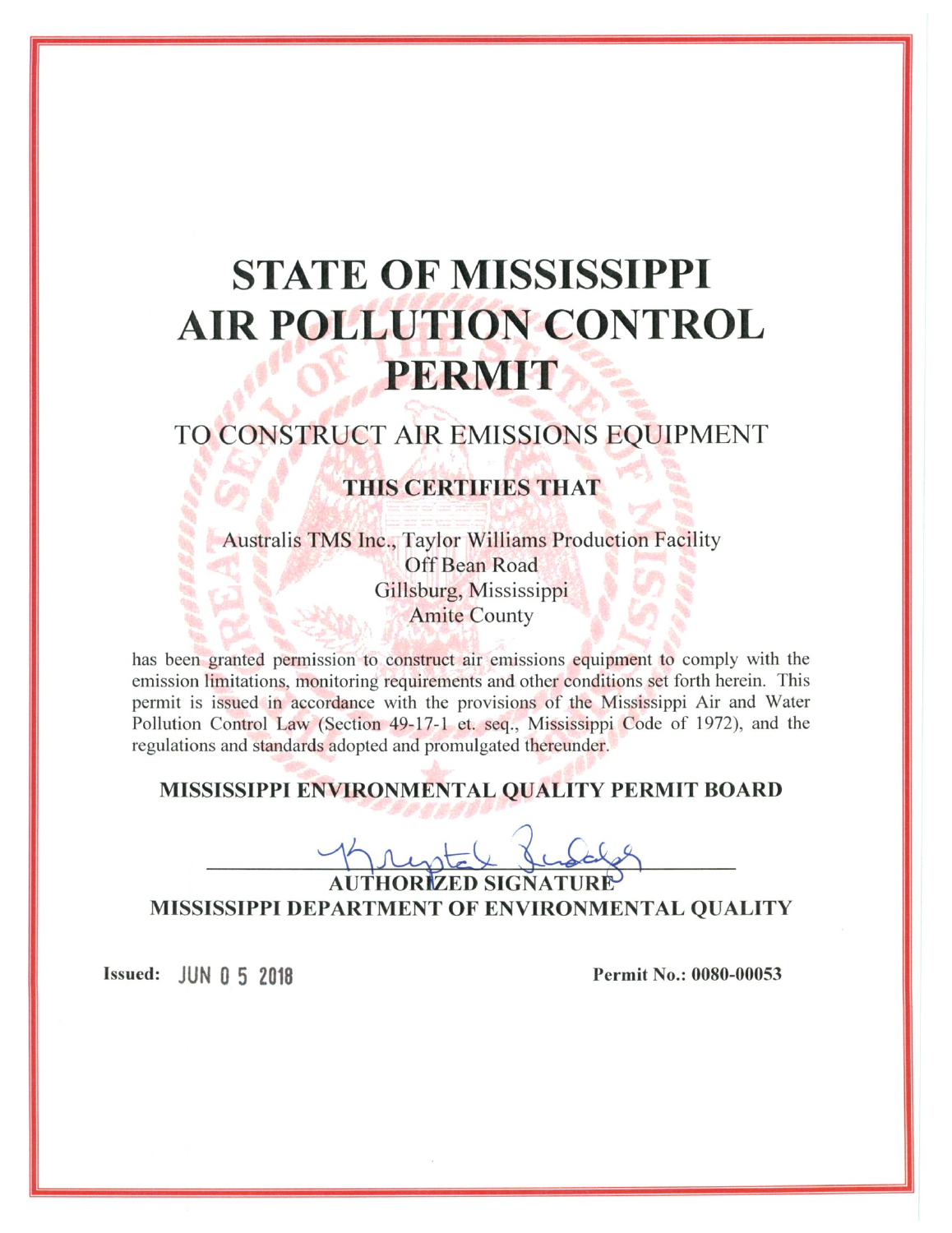# **STATE OF MISSISSIPPI AIR POLLUTION CONTROL** PERMIT

# TO CONSTRUCT AIR EMISSIONS EQUIPMENT

## **THIS CERTIFIES THAT**

**Australis TMS Inc., Taylor Williams Production Facility** Off Bean Road Gillsburg, Mississippi **Amite County** 

has been granted permission to construct air emissions equipment to comply with the emission limitations, monitoring requirements and other conditions set forth herein. This permit is issued in accordance with the provisions of the Mississippi Air and Water Pollution Control Law (Section 49-17-1 et. seq., Mississippi Code of 1972), and the regulations and standards adopted and promulgated thereunder.

### MISSISSIPPI ENVIRONMENTAL QUALITY PERMIT BOARD

AUTHORIZED SIGNATURE MISSISSIPPI DEPARTMENT OF ENVIRONMENTAL QUALITY

Issued: JUN 0 5 2018

Permit No.: 0080-00053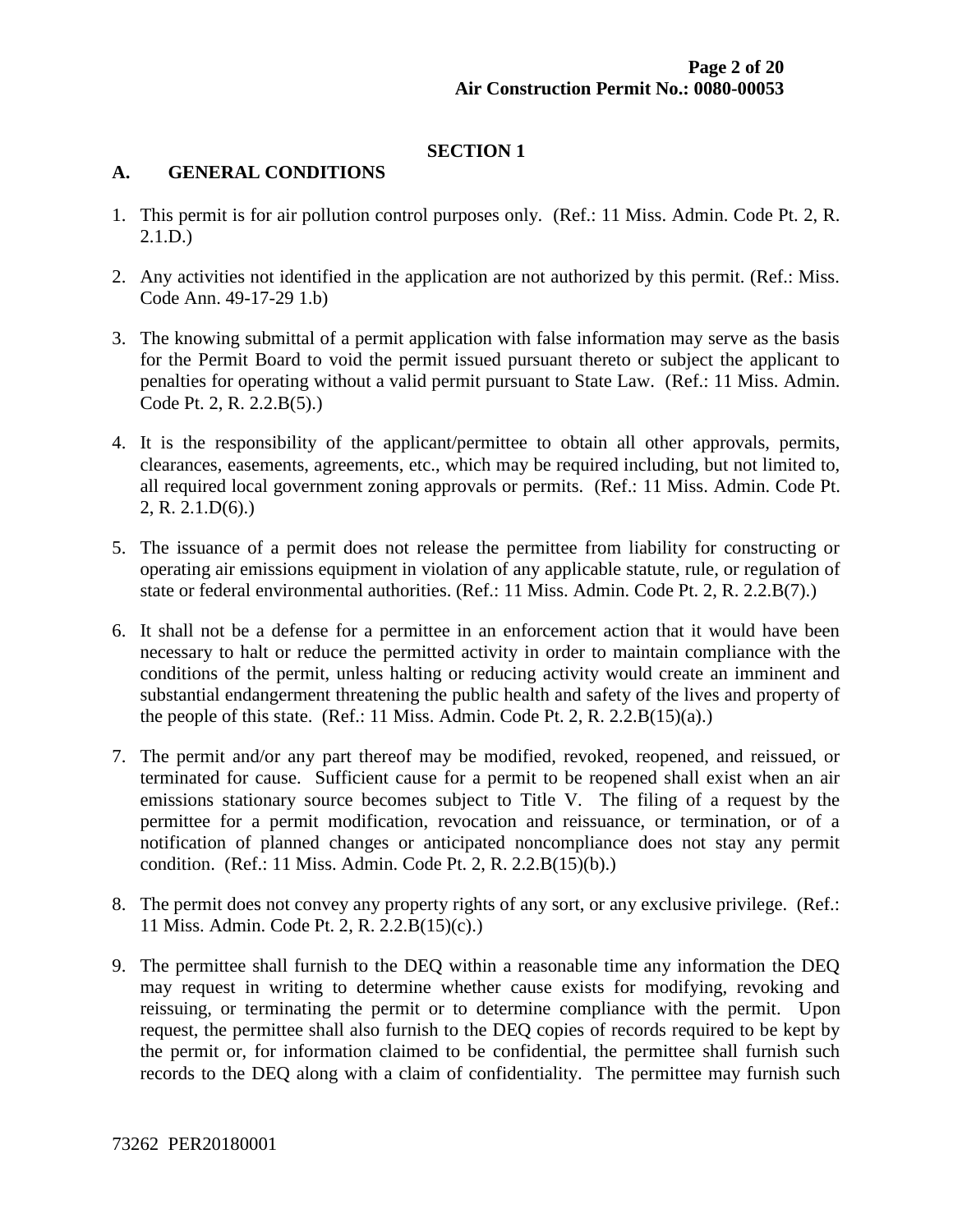#### **SECTION 1**

#### **A. GENERAL CONDITIONS**

- 1. This permit is for air pollution control purposes only. (Ref.: 11 Miss. Admin. Code Pt. 2, R. 2.1.D.)
- 2. Any activities not identified in the application are not authorized by this permit. (Ref.: Miss. Code Ann. 49-17-29 1.b)
- 3. The knowing submittal of a permit application with false information may serve as the basis for the Permit Board to void the permit issued pursuant thereto or subject the applicant to penalties for operating without a valid permit pursuant to State Law. (Ref.: 11 Miss. Admin. Code Pt. 2, R. 2.2.B(5).)
- 4. It is the responsibility of the applicant/permittee to obtain all other approvals, permits, clearances, easements, agreements, etc., which may be required including, but not limited to, all required local government zoning approvals or permits. (Ref.: 11 Miss. Admin. Code Pt. 2, R. 2.1.D(6).)
- 5. The issuance of a permit does not release the permittee from liability for constructing or operating air emissions equipment in violation of any applicable statute, rule, or regulation of state or federal environmental authorities. (Ref.: 11 Miss. Admin. Code Pt. 2, R. 2.2.B(7).)
- 6. It shall not be a defense for a permittee in an enforcement action that it would have been necessary to halt or reduce the permitted activity in order to maintain compliance with the conditions of the permit, unless halting or reducing activity would create an imminent and substantial endangerment threatening the public health and safety of the lives and property of the people of this state. (Ref.: 11 Miss. Admin. Code Pt. 2, R. 2.2. $B(15)(a)$ .)
- 7. The permit and/or any part thereof may be modified, revoked, reopened, and reissued, or terminated for cause. Sufficient cause for a permit to be reopened shall exist when an air emissions stationary source becomes subject to Title V. The filing of a request by the permittee for a permit modification, revocation and reissuance, or termination, or of a notification of planned changes or anticipated noncompliance does not stay any permit condition. (Ref.: 11 Miss. Admin. Code Pt. 2, R. 2.2.B(15)(b).)
- 8. The permit does not convey any property rights of any sort, or any exclusive privilege. (Ref.: 11 Miss. Admin. Code Pt. 2, R. 2.2.B(15)(c).)
- 9. The permittee shall furnish to the DEQ within a reasonable time any information the DEQ may request in writing to determine whether cause exists for modifying, revoking and reissuing, or terminating the permit or to determine compliance with the permit. Upon request, the permittee shall also furnish to the DEQ copies of records required to be kept by the permit or, for information claimed to be confidential, the permittee shall furnish such records to the DEQ along with a claim of confidentiality. The permittee may furnish such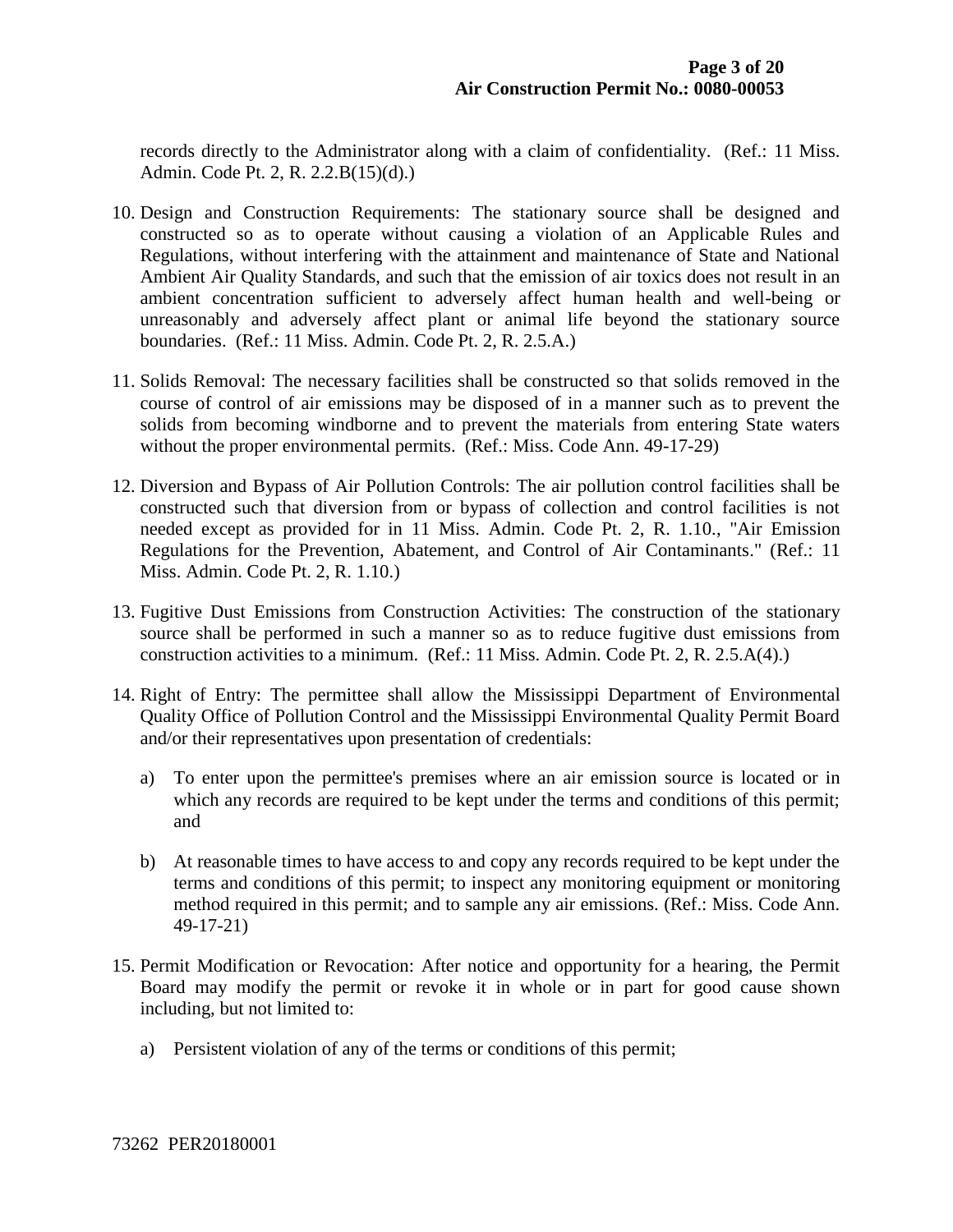records directly to the Administrator along with a claim of confidentiality. (Ref.: 11 Miss. Admin. Code Pt. 2, R. 2.2.B(15)(d).)

- 10. Design and Construction Requirements: The stationary source shall be designed and constructed so as to operate without causing a violation of an Applicable Rules and Regulations, without interfering with the attainment and maintenance of State and National Ambient Air Quality Standards, and such that the emission of air toxics does not result in an ambient concentration sufficient to adversely affect human health and well-being or unreasonably and adversely affect plant or animal life beyond the stationary source boundaries. (Ref.: 11 Miss. Admin. Code Pt. 2, R. 2.5.A.)
- 11. Solids Removal: The necessary facilities shall be constructed so that solids removed in the course of control of air emissions may be disposed of in a manner such as to prevent the solids from becoming windborne and to prevent the materials from entering State waters without the proper environmental permits. (Ref.: Miss. Code Ann. 49-17-29)
- 12. Diversion and Bypass of Air Pollution Controls: The air pollution control facilities shall be constructed such that diversion from or bypass of collection and control facilities is not needed except as provided for in 11 Miss. Admin. Code Pt. 2, R. 1.10., "Air Emission Regulations for the Prevention, Abatement, and Control of Air Contaminants." (Ref.: 11 Miss. Admin. Code Pt. 2, R. 1.10.)
- 13. Fugitive Dust Emissions from Construction Activities: The construction of the stationary source shall be performed in such a manner so as to reduce fugitive dust emissions from construction activities to a minimum. (Ref.: 11 Miss. Admin. Code Pt. 2, R. 2.5.A(4).)
- 14. Right of Entry: The permittee shall allow the Mississippi Department of Environmental Quality Office of Pollution Control and the Mississippi Environmental Quality Permit Board and/or their representatives upon presentation of credentials:
	- a) To enter upon the permittee's premises where an air emission source is located or in which any records are required to be kept under the terms and conditions of this permit; and
	- b) At reasonable times to have access to and copy any records required to be kept under the terms and conditions of this permit; to inspect any monitoring equipment or monitoring method required in this permit; and to sample any air emissions. (Ref.: Miss. Code Ann. 49-17-21)
- 15. Permit Modification or Revocation: After notice and opportunity for a hearing, the Permit Board may modify the permit or revoke it in whole or in part for good cause shown including, but not limited to:
	- a) Persistent violation of any of the terms or conditions of this permit;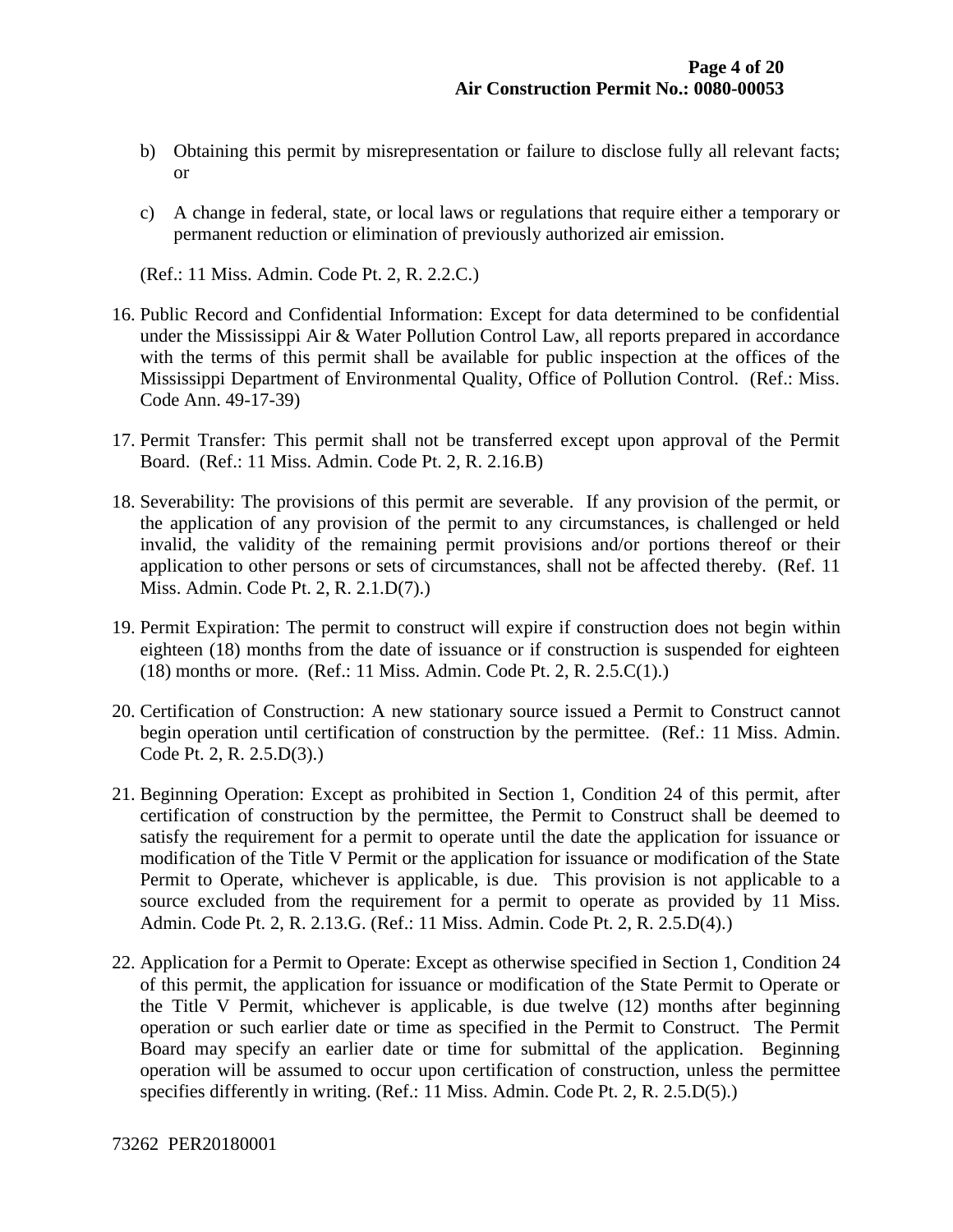- b) Obtaining this permit by misrepresentation or failure to disclose fully all relevant facts; or
- c) A change in federal, state, or local laws or regulations that require either a temporary or permanent reduction or elimination of previously authorized air emission.

(Ref.: 11 Miss. Admin. Code Pt. 2, R. 2.2.C.)

- 16. Public Record and Confidential Information: Except for data determined to be confidential under the Mississippi Air & Water Pollution Control Law, all reports prepared in accordance with the terms of this permit shall be available for public inspection at the offices of the Mississippi Department of Environmental Quality, Office of Pollution Control. (Ref.: Miss. Code Ann. 49-17-39)
- 17. Permit Transfer: This permit shall not be transferred except upon approval of the Permit Board. (Ref.: 11 Miss. Admin. Code Pt. 2, R. 2.16.B)
- 18. Severability: The provisions of this permit are severable. If any provision of the permit, or the application of any provision of the permit to any circumstances, is challenged or held invalid, the validity of the remaining permit provisions and/or portions thereof or their application to other persons or sets of circumstances, shall not be affected thereby. (Ref. 11 Miss. Admin. Code Pt. 2, R. 2.1.D(7).)
- 19. Permit Expiration: The permit to construct will expire if construction does not begin within eighteen (18) months from the date of issuance or if construction is suspended for eighteen (18) months or more. (Ref.: 11 Miss. Admin. Code Pt. 2, R. 2.5.C(1).)
- 20. Certification of Construction: A new stationary source issued a Permit to Construct cannot begin operation until certification of construction by the permittee. (Ref.: 11 Miss. Admin. Code Pt. 2, R. 2.5.D(3).)
- 21. Beginning Operation: Except as prohibited in Section 1, Condition 24 of this permit, after certification of construction by the permittee, the Permit to Construct shall be deemed to satisfy the requirement for a permit to operate until the date the application for issuance or modification of the Title V Permit or the application for issuance or modification of the State Permit to Operate, whichever is applicable, is due. This provision is not applicable to a source excluded from the requirement for a permit to operate as provided by 11 Miss. Admin. Code Pt. 2, R. 2.13.G. (Ref.: 11 Miss. Admin. Code Pt. 2, R. 2.5.D(4).)
- 22. Application for a Permit to Operate: Except as otherwise specified in Section 1, Condition 24 of this permit, the application for issuance or modification of the State Permit to Operate or the Title V Permit, whichever is applicable, is due twelve (12) months after beginning operation or such earlier date or time as specified in the Permit to Construct. The Permit Board may specify an earlier date or time for submittal of the application. Beginning operation will be assumed to occur upon certification of construction, unless the permittee specifies differently in writing. (Ref.: 11 Miss. Admin. Code Pt. 2, R. 2.5.D(5).)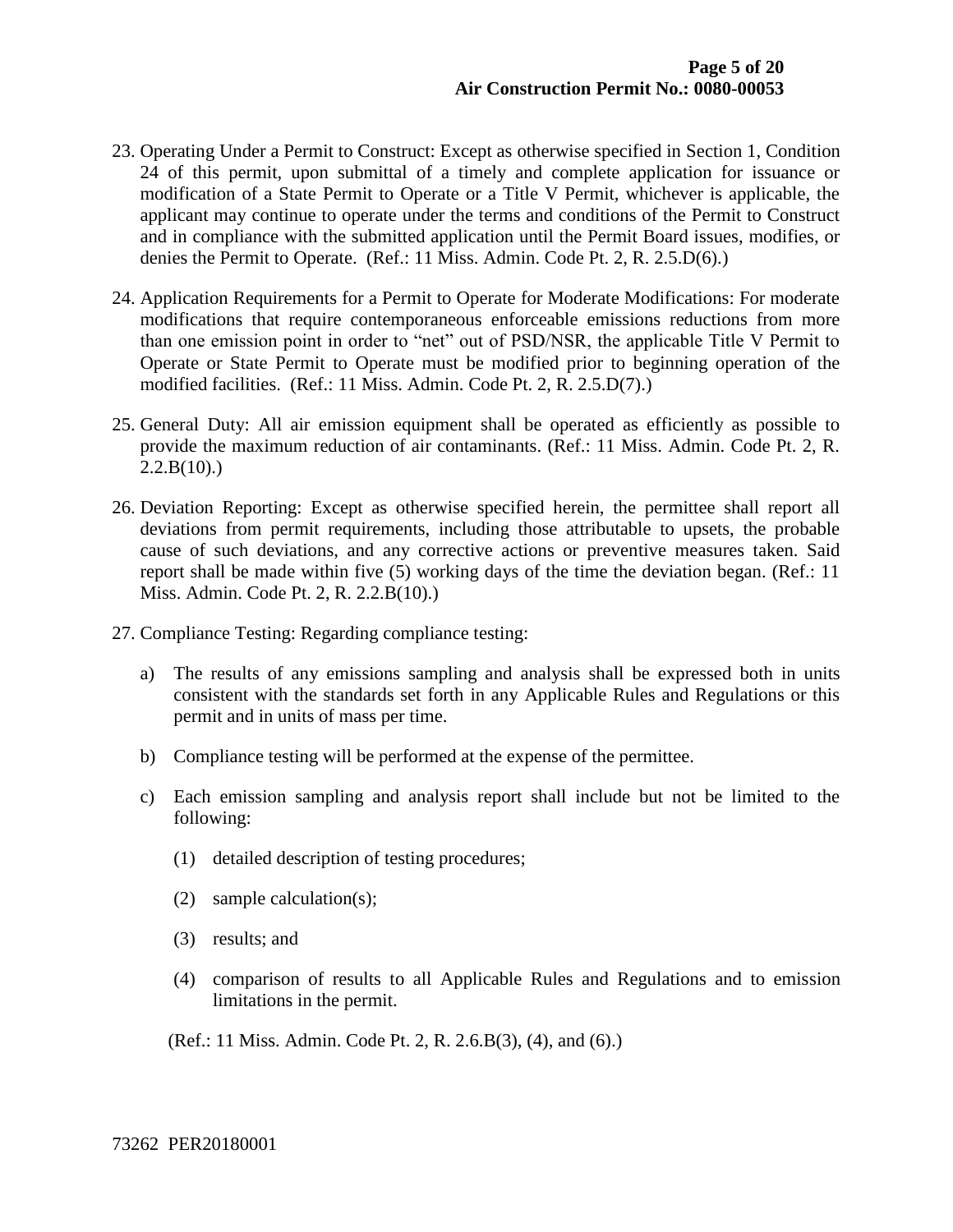- 23. Operating Under a Permit to Construct: Except as otherwise specified in Section 1, Condition 24 of this permit, upon submittal of a timely and complete application for issuance or modification of a State Permit to Operate or a Title V Permit, whichever is applicable, the applicant may continue to operate under the terms and conditions of the Permit to Construct and in compliance with the submitted application until the Permit Board issues, modifies, or denies the Permit to Operate. (Ref.: 11 Miss. Admin. Code Pt. 2, R. 2.5.D(6).)
- 24. Application Requirements for a Permit to Operate for Moderate Modifications: For moderate modifications that require contemporaneous enforceable emissions reductions from more than one emission point in order to "net" out of PSD/NSR, the applicable Title V Permit to Operate or State Permit to Operate must be modified prior to beginning operation of the modified facilities. (Ref.: 11 Miss. Admin. Code Pt. 2, R. 2.5.D(7).)
- 25. General Duty: All air emission equipment shall be operated as efficiently as possible to provide the maximum reduction of air contaminants. (Ref.: 11 Miss. Admin. Code Pt. 2, R.  $2.2.B(10).$
- 26. Deviation Reporting: Except as otherwise specified herein, the permittee shall report all deviations from permit requirements, including those attributable to upsets, the probable cause of such deviations, and any corrective actions or preventive measures taken. Said report shall be made within five (5) working days of the time the deviation began. (Ref.: 11 Miss. Admin. Code Pt. 2, R. 2.2.B(10).)
- 27. Compliance Testing: Regarding compliance testing:
	- a) The results of any emissions sampling and analysis shall be expressed both in units consistent with the standards set forth in any Applicable Rules and Regulations or this permit and in units of mass per time.
	- b) Compliance testing will be performed at the expense of the permittee.
	- c) Each emission sampling and analysis report shall include but not be limited to the following:
		- (1) detailed description of testing procedures;
		- (2) sample calculation(s);
		- (3) results; and
		- (4) comparison of results to all Applicable Rules and Regulations and to emission limitations in the permit.
		- (Ref.: 11 Miss. Admin. Code Pt. 2, R. 2.6.B(3), (4), and (6).)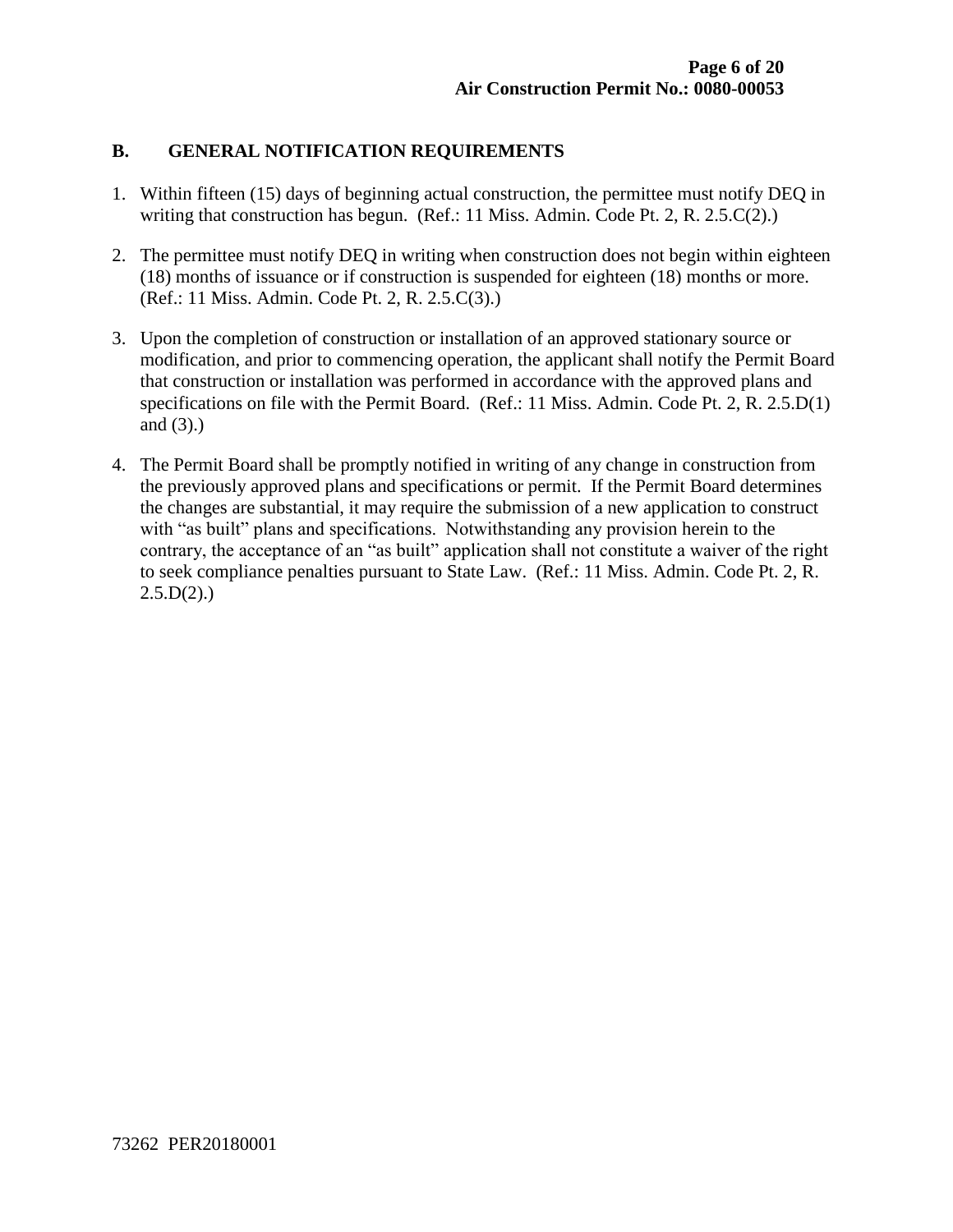#### **B. GENERAL NOTIFICATION REQUIREMENTS**

- 1. Within fifteen (15) days of beginning actual construction, the permittee must notify DEQ in writing that construction has begun. (Ref.: 11 Miss. Admin. Code Pt. 2, R. 2.5.C(2).)
- 2. The permittee must notify DEQ in writing when construction does not begin within eighteen (18) months of issuance or if construction is suspended for eighteen (18) months or more. (Ref.: 11 Miss. Admin. Code Pt. 2, R. 2.5.C(3).)
- 3. Upon the completion of construction or installation of an approved stationary source or modification, and prior to commencing operation, the applicant shall notify the Permit Board that construction or installation was performed in accordance with the approved plans and specifications on file with the Permit Board. (Ref.: 11 Miss. Admin. Code Pt. 2, R. 2.5.D(1) and (3).)
- 4. The Permit Board shall be promptly notified in writing of any change in construction from the previously approved plans and specifications or permit. If the Permit Board determines the changes are substantial, it may require the submission of a new application to construct with "as built" plans and specifications. Notwithstanding any provision herein to the contrary, the acceptance of an "as built" application shall not constitute a waiver of the right to seek compliance penalties pursuant to State Law. (Ref.: 11 Miss. Admin. Code Pt. 2, R.  $2.5.D(2)$ .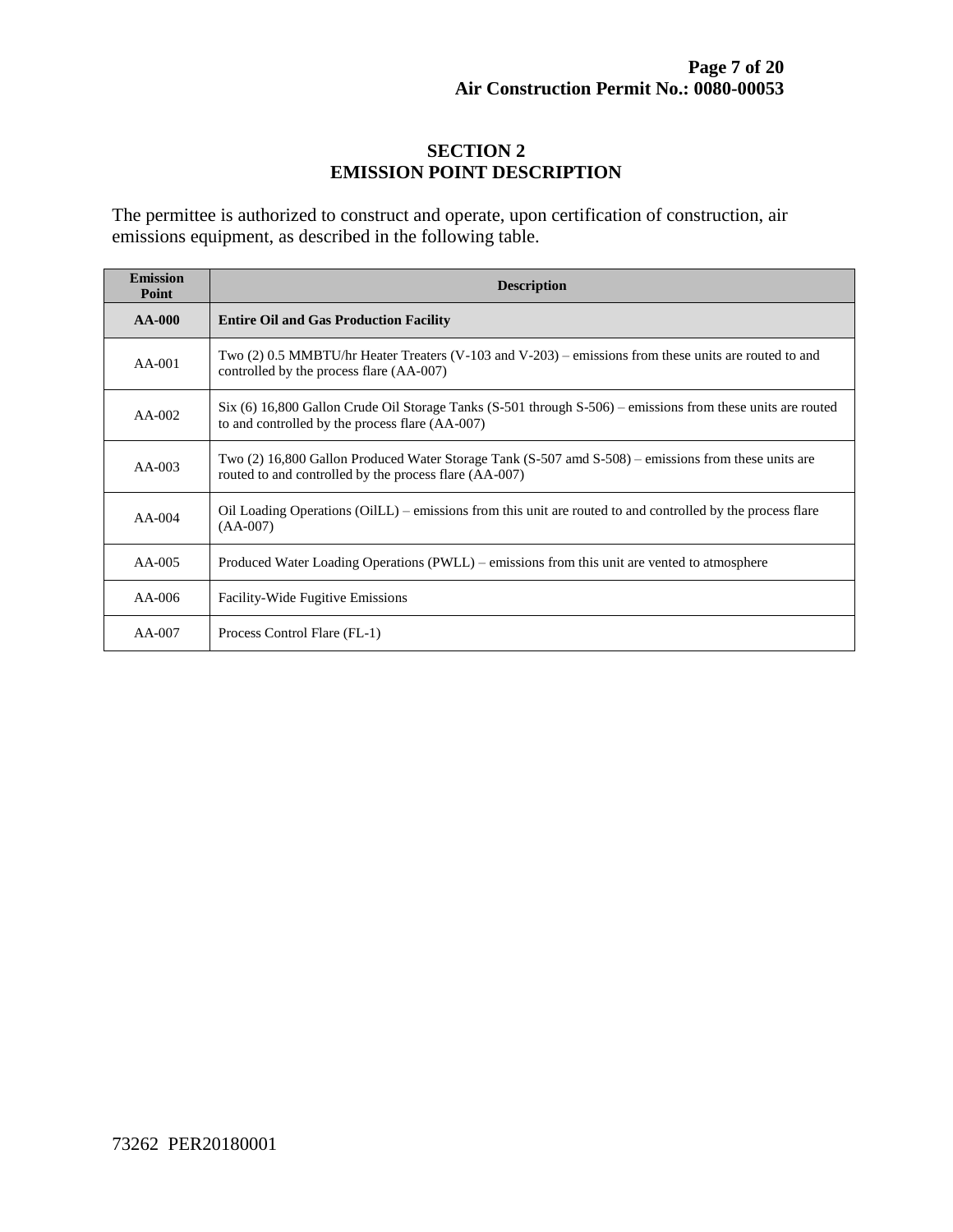#### **SECTION 2 EMISSION POINT DESCRIPTION**

The permittee is authorized to construct and operate, upon certification of construction, air emissions equipment, as described in the following table.

| <b>Emission</b><br>Point | <b>Description</b>                                                                                                                                               |  |  |  |
|--------------------------|------------------------------------------------------------------------------------------------------------------------------------------------------------------|--|--|--|
| $AA-000$                 | <b>Entire Oil and Gas Production Facility</b>                                                                                                                    |  |  |  |
| $AA-001$                 | Two (2) 0.5 MMBTU/hr Heater Treaters (V-103 and V-203) – emissions from these units are routed to and<br>controlled by the process flare (AA-007)                |  |  |  |
| $AA-002$                 | $Six (6) 16,800 Gallon Crude Oil Storage Tanks (S-501 through S-506) – emissions from these units are routed$<br>to and controlled by the process flare (AA-007) |  |  |  |
| $AA-003$                 | Two (2) 16,800 Gallon Produced Water Storage Tank (S-507 amd S-508) – emissions from these units are<br>routed to and controlled by the process flare (AA-007)   |  |  |  |
| $AA-004$                 | Oil Loading Operations (OilLL) – emissions from this unit are routed to and controlled by the process flare<br>$(AA-007)$                                        |  |  |  |
| $AA-005$                 | Produced Water Loading Operations (PWLL) – emissions from this unit are vented to atmosphere                                                                     |  |  |  |
| $AA-006$                 | <b>Facility-Wide Fugitive Emissions</b>                                                                                                                          |  |  |  |
| $AA-007$                 | Process Control Flare (FL-1)                                                                                                                                     |  |  |  |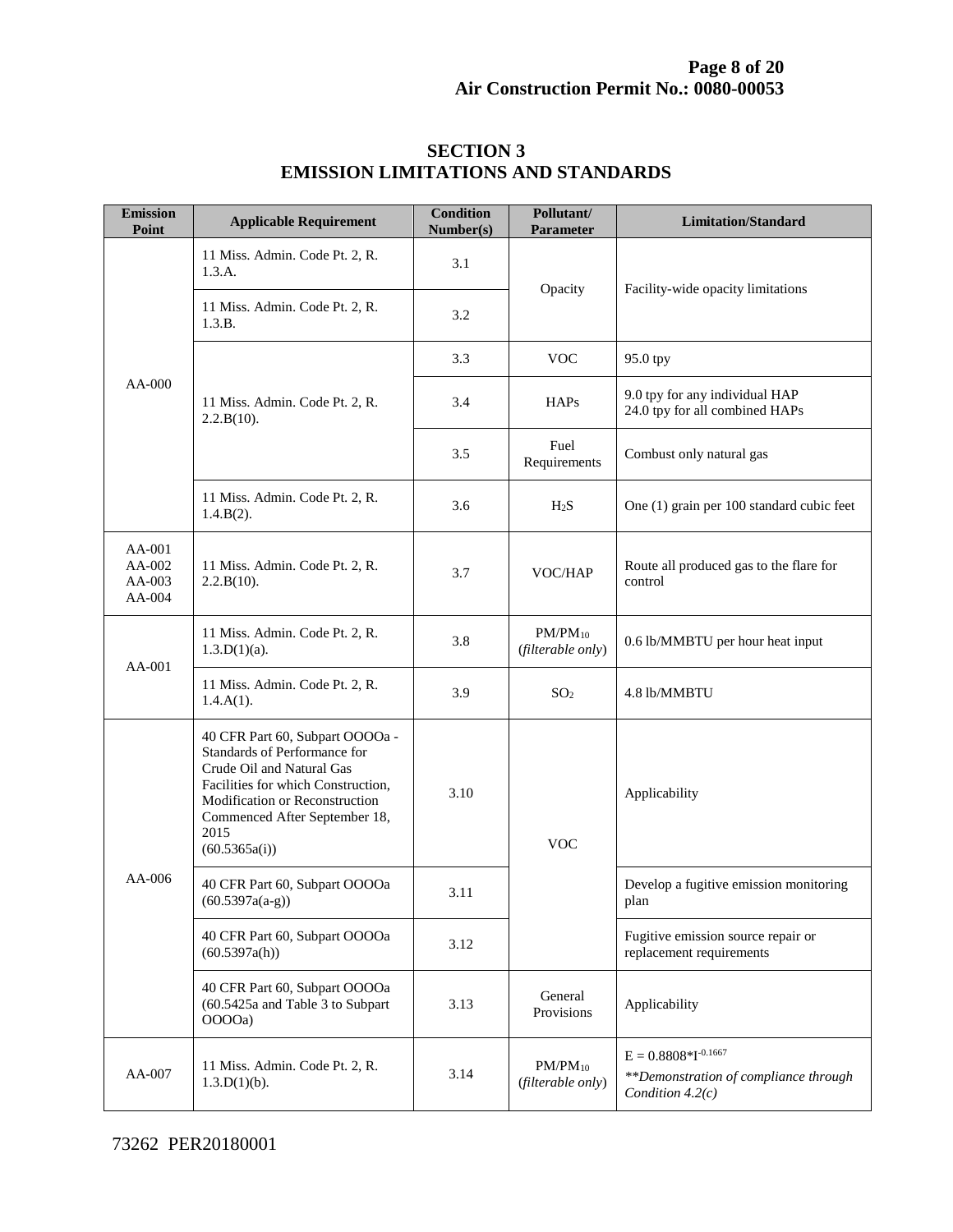| <b>Emission</b><br>Point             | <b>Applicable Requirement</b>                                                                                                                                                                                                  | <b>Condition</b><br>Number(s) | Pollutant/<br><b>Parameter</b>    | <b>Limitation/Standard</b>                                                              |
|--------------------------------------|--------------------------------------------------------------------------------------------------------------------------------------------------------------------------------------------------------------------------------|-------------------------------|-----------------------------------|-----------------------------------------------------------------------------------------|
|                                      | 11 Miss. Admin. Code Pt. 2, R.<br>1.3.A.                                                                                                                                                                                       | 3.1                           | Opacity                           | Facility-wide opacity limitations                                                       |
|                                      | 11 Miss. Admin. Code Pt. 2, R.<br>1.3.B.                                                                                                                                                                                       | 3.2                           |                                   |                                                                                         |
|                                      | 11 Miss. Admin. Code Pt. 2, R.<br>2.2.B(10).                                                                                                                                                                                   | 3.3                           | <b>VOC</b>                        | 95.0 tpy                                                                                |
| AA-000                               |                                                                                                                                                                                                                                | 3.4                           | <b>HAPs</b>                       | 9.0 tpy for any individual HAP<br>24.0 tpy for all combined HAPs                        |
|                                      |                                                                                                                                                                                                                                | 3.5                           | Fuel<br>Requirements              | Combust only natural gas                                                                |
|                                      | 11 Miss. Admin. Code Pt. 2, R.<br>$1.4.B(2)$ .                                                                                                                                                                                 | 3.6                           | H <sub>2</sub> S                  | One (1) grain per 100 standard cubic feet                                               |
| AA-001<br>AA-002<br>AA-003<br>AA-004 | 11 Miss. Admin. Code Pt. 2, R.<br>2.2.B(10).                                                                                                                                                                                   | 3.7                           | VOC/HAP                           | Route all produced gas to the flare for<br>control                                      |
| $AA-001$                             | 11 Miss. Admin. Code Pt. 2, R.<br>$1.3.D(1)(a)$ .                                                                                                                                                                              | 3.8                           | $PM/PM_{10}$<br>(filterable only) | 0.6 lb/MMBTU per hour heat input                                                        |
|                                      | 11 Miss. Admin. Code Pt. 2, R.<br>$1.4.A(1)$ .                                                                                                                                                                                 | 3.9                           | SO <sub>2</sub>                   | 4.8 lb/MMBTU                                                                            |
| AA-006                               | 40 CFR Part 60, Subpart OOOOa -<br>Standards of Performance for<br>Crude Oil and Natural Gas<br>Facilities for which Construction,<br>Modification or Reconstruction<br>Commenced After September 18,<br>2015<br>(60.5365a(i)) | 3.10                          | <b>VOC</b>                        | Applicability                                                                           |
|                                      | 40 CFR Part 60, Subpart OOOOa<br>$(60.5397a(a-g))$                                                                                                                                                                             | 3.11                          |                                   | Develop a fugitive emission monitoring<br>plan                                          |
|                                      | 40 CFR Part 60, Subpart OOOOa<br>(60.5397a(h))                                                                                                                                                                                 | 3.12                          |                                   | Fugitive emission source repair or<br>replacement requirements                          |
|                                      | 40 CFR Part 60, Subpart OOOOa<br>(60.5425a and Table 3 to Subpart<br>OOOOa)                                                                                                                                                    | 3.13                          | General<br>Provisions             | Applicability                                                                           |
| AA-007                               | 11 Miss. Admin. Code Pt. 2, R.<br>$1.3.D(1)(b)$ .                                                                                                                                                                              | 3.14                          | $PM/PM_{10}$<br>(filterable only) | $E = 0.8808*I^{-0.1667}$<br>**Demonstration of compliance through<br>Condition $4.2(c)$ |

#### **SECTION 3 EMISSION LIMITATIONS AND STANDARDS**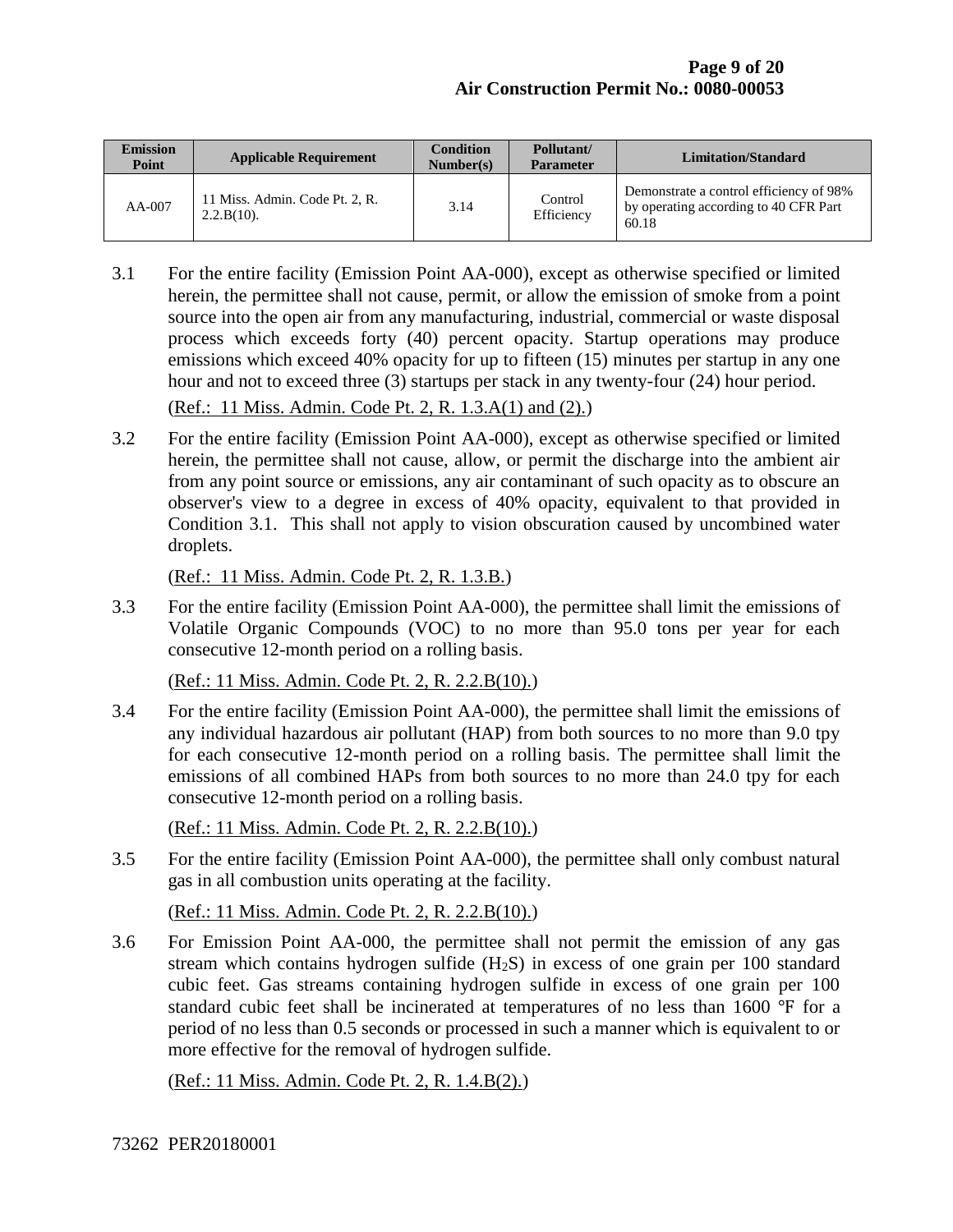| <b>Emission</b><br>Point | <b>Applicable Requirement</b>                   | <b>Condition</b><br>Number(s) | Pollutant/<br><b>Parameter</b> | <b>Limitation/Standard</b>                                                                |
|--------------------------|-------------------------------------------------|-------------------------------|--------------------------------|-------------------------------------------------------------------------------------------|
| $AA-007$                 | 11 Miss. Admin. Code Pt. 2, R.<br>$2.2.B(10)$ . | 3.14                          | Control<br>Efficiency          | Demonstrate a control efficiency of 98%<br>by operating according to 40 CFR Part<br>60.18 |

- 3.1 For the entire facility (Emission Point AA-000), except as otherwise specified or limited herein, the permittee shall not cause, permit, or allow the emission of smoke from a point source into the open air from any manufacturing, industrial, commercial or waste disposal process which exceeds forty (40) percent opacity. Startup operations may produce emissions which exceed 40% opacity for up to fifteen (15) minutes per startup in any one hour and not to exceed three (3) startups per stack in any twenty-four (24) hour period. (Ref.: 11 Miss. Admin. Code Pt. 2, R. 1.3.A(1) and (2).)
- 3.2 For the entire facility (Emission Point AA-000), except as otherwise specified or limited herein, the permittee shall not cause, allow, or permit the discharge into the ambient air from any point source or emissions, any air contaminant of such opacity as to obscure an observer's view to a degree in excess of 40% opacity, equivalent to that provided in Condition 3.1. This shall not apply to vision obscuration caused by uncombined water droplets.

(Ref.: 11 Miss. Admin. Code Pt. 2, R. 1.3.B.)

3.3 For the entire facility (Emission Point AA-000), the permittee shall limit the emissions of Volatile Organic Compounds (VOC) to no more than 95.0 tons per year for each consecutive 12-month period on a rolling basis.

(Ref.: 11 Miss. Admin. Code Pt. 2, R. 2.2.B(10).)

3.4 For the entire facility (Emission Point AA-000), the permittee shall limit the emissions of any individual hazardous air pollutant (HAP) from both sources to no more than 9.0 tpy for each consecutive 12-month period on a rolling basis. The permittee shall limit the emissions of all combined HAPs from both sources to no more than 24.0 tpy for each consecutive 12-month period on a rolling basis.

(Ref.: 11 Miss. Admin. Code Pt. 2, R. 2.2.B(10).)

3.5 For the entire facility (Emission Point AA-000), the permittee shall only combust natural gas in all combustion units operating at the facility.

(Ref.: 11 Miss. Admin. Code Pt. 2, R. 2.2.B(10).)

3.6 For Emission Point AA-000, the permittee shall not permit the emission of any gas stream which contains hydrogen sulfide  $(H<sub>2</sub>S)$  in excess of one grain per 100 standard cubic feet. Gas streams containing hydrogen sulfide in excess of one grain per 100 standard cubic feet shall be incinerated at temperatures of no less than 1600 °F for a period of no less than 0.5 seconds or processed in such a manner which is equivalent to or more effective for the removal of hydrogen sulfide.

(Ref.: 11 Miss. Admin. Code Pt. 2, R. 1.4.B(2).)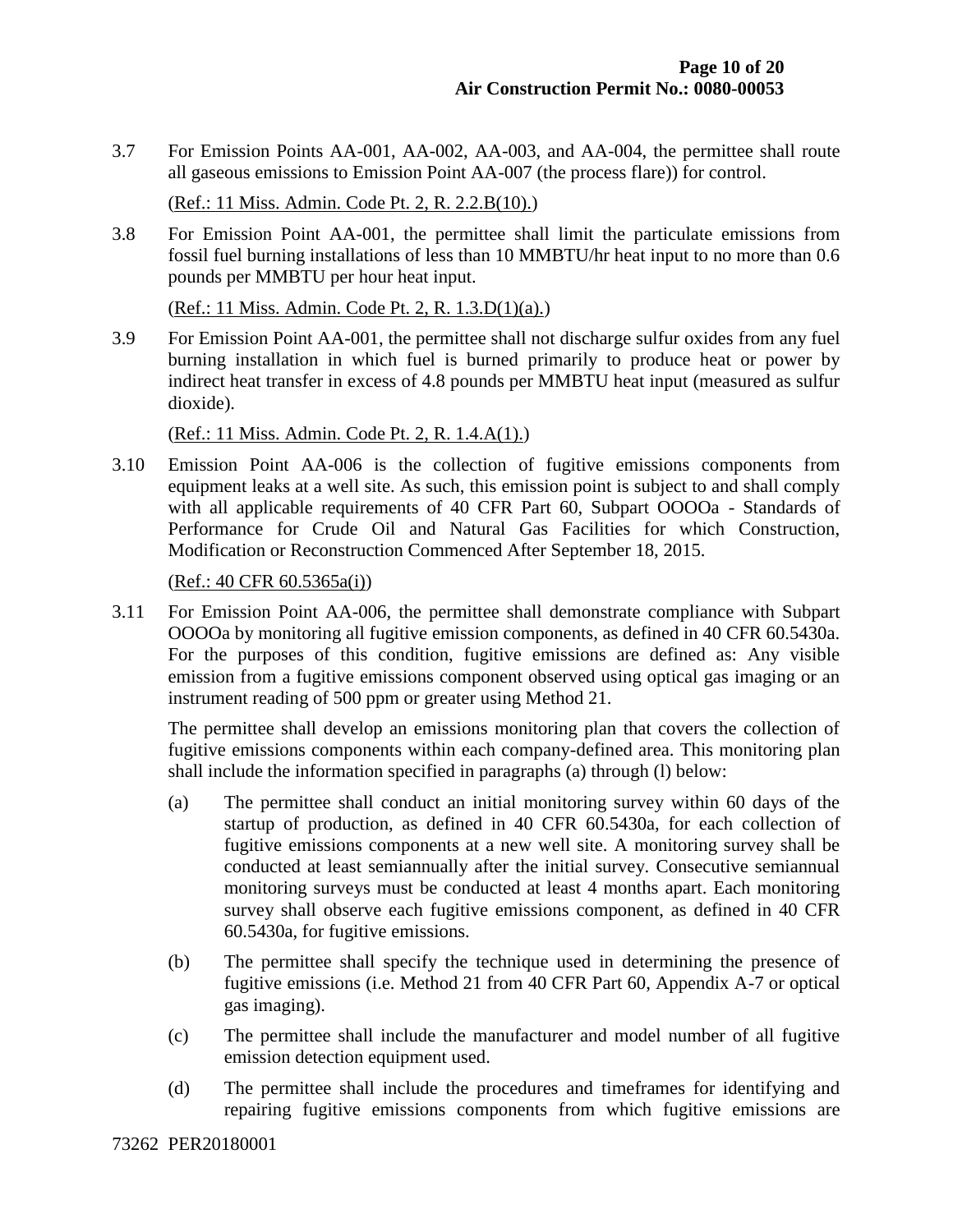3.7 For Emission Points AA-001, AA-002, AA-003, and AA-004, the permittee shall route all gaseous emissions to Emission Point AA-007 (the process flare)) for control.

(Ref.: 11 Miss. Admin. Code Pt. 2, R. 2.2.B(10).)

3.8 For Emission Point AA-001, the permittee shall limit the particulate emissions from fossil fuel burning installations of less than 10 MMBTU/hr heat input to no more than 0.6 pounds per MMBTU per hour heat input.

(Ref.: 11 Miss. Admin. Code Pt. 2, R. 1.3.D(1)(a).)

3.9 For Emission Point AA-001, the permittee shall not discharge sulfur oxides from any fuel burning installation in which fuel is burned primarily to produce heat or power by indirect heat transfer in excess of 4.8 pounds per MMBTU heat input (measured as sulfur dioxide).

(Ref.: 11 Miss. Admin. Code Pt. 2, R. 1.4.A(1).)

3.10 Emission Point AA-006 is the collection of fugitive emissions components from equipment leaks at a well site. As such, this emission point is subject to and shall comply with all applicable requirements of 40 CFR Part 60, Subpart OOOOa - Standards of Performance for Crude Oil and Natural Gas Facilities for which Construction, Modification or Reconstruction Commenced After September 18, 2015.

(Ref.: 40 CFR 60.5365a(i))

3.11 For Emission Point AA-006, the permittee shall demonstrate compliance with Subpart OOOOa by monitoring all fugitive emission components, as defined in 40 CFR 60.5430a. For the purposes of this condition, fugitive emissions are defined as: Any visible emission from a fugitive emissions component observed using optical gas imaging or an instrument reading of 500 ppm or greater using Method 21.

The permittee shall develop an emissions monitoring plan that covers the collection of fugitive emissions components within each company-defined area. This monitoring plan shall include the information specified in paragraphs (a) through (l) below:

- (a) The permittee shall conduct an initial monitoring survey within 60 days of the startup of production, as defined in 40 CFR 60.5430a, for each collection of fugitive emissions components at a new well site. A monitoring survey shall be conducted at least semiannually after the initial survey. Consecutive semiannual monitoring surveys must be conducted at least 4 months apart. Each monitoring survey shall observe each fugitive emissions component, as defined in 40 CFR 60.5430a, for fugitive emissions.
- (b) The permittee shall specify the technique used in determining the presence of fugitive emissions (i.e. Method 21 from 40 CFR Part 60, Appendix A-7 or optical gas imaging).
- (c) The permittee shall include the manufacturer and model number of all fugitive emission detection equipment used.
- (d) The permittee shall include the procedures and timeframes for identifying and repairing fugitive emissions components from which fugitive emissions are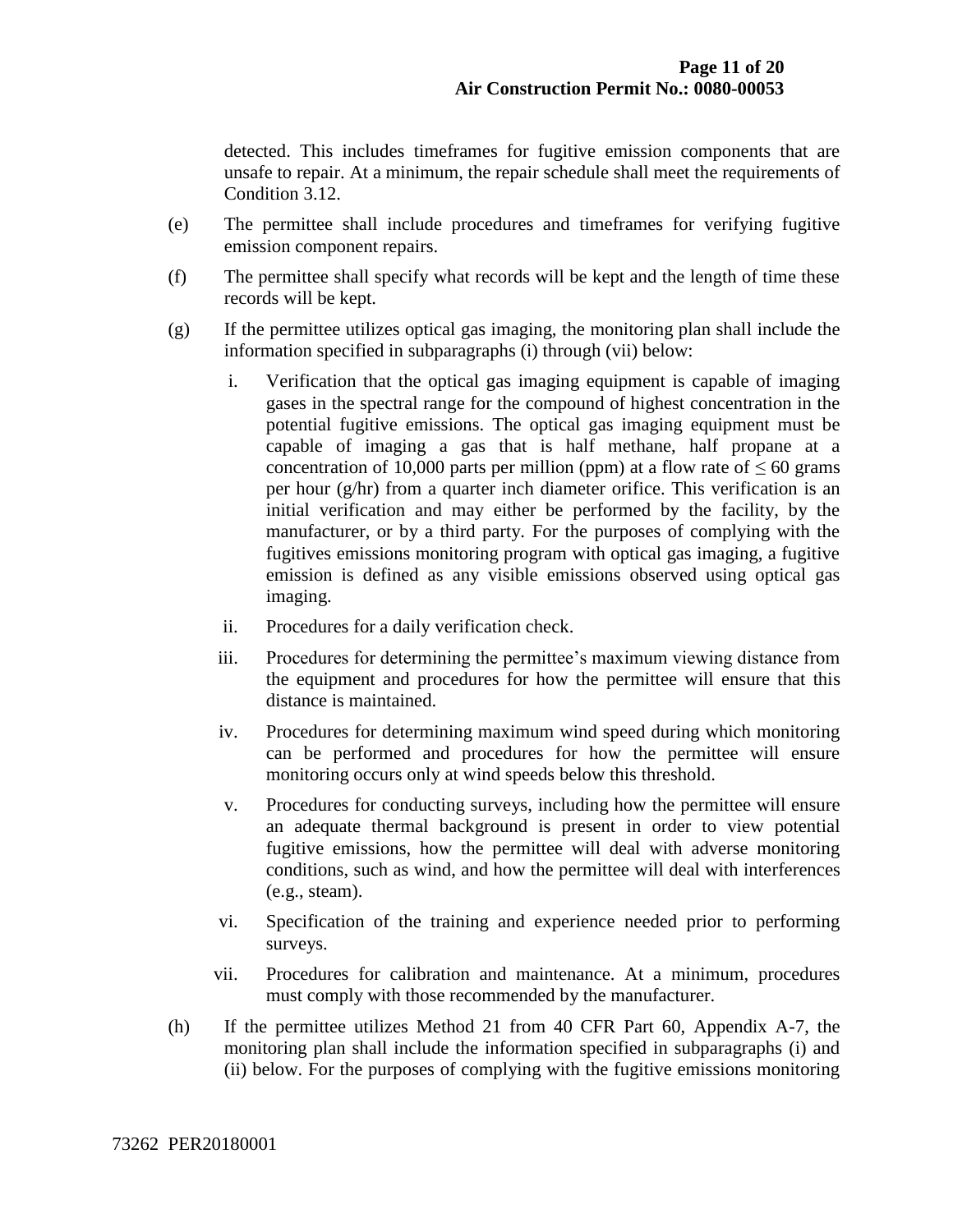detected. This includes timeframes for fugitive emission components that are unsafe to repair. At a minimum, the repair schedule shall meet the requirements of Condition 3.12.

- (e) The permittee shall include procedures and timeframes for verifying fugitive emission component repairs.
- (f) The permittee shall specify what records will be kept and the length of time these records will be kept.
- (g) If the permittee utilizes optical gas imaging, the monitoring plan shall include the information specified in subparagraphs (i) through (vii) below:
	- i. Verification that the optical gas imaging equipment is capable of imaging gases in the spectral range for the compound of highest concentration in the potential fugitive emissions. The optical gas imaging equipment must be capable of imaging a gas that is half methane, half propane at a concentration of 10,000 parts per million (ppm) at a flow rate of  $\leq 60$  grams per hour (g/hr) from a quarter inch diameter orifice. This verification is an initial verification and may either be performed by the facility, by the manufacturer, or by a third party. For the purposes of complying with the fugitives emissions monitoring program with optical gas imaging, a fugitive emission is defined as any visible emissions observed using optical gas imaging.
	- ii. Procedures for a daily verification check.
	- iii. Procedures for determining the permittee's maximum viewing distance from the equipment and procedures for how the permittee will ensure that this distance is maintained.
	- iv. Procedures for determining maximum wind speed during which monitoring can be performed and procedures for how the permittee will ensure monitoring occurs only at wind speeds below this threshold.
	- v. Procedures for conducting surveys, including how the permittee will ensure an adequate thermal background is present in order to view potential fugitive emissions, how the permittee will deal with adverse monitoring conditions, such as wind, and how the permittee will deal with interferences (e.g., steam).
	- vi. Specification of the training and experience needed prior to performing surveys.
	- vii. Procedures for calibration and maintenance. At a minimum, procedures must comply with those recommended by the manufacturer.
- (h) If the permittee utilizes Method 21 from 40 CFR Part 60, Appendix A-7, the monitoring plan shall include the information specified in subparagraphs (i) and (ii) below. For the purposes of complying with the fugitive emissions monitoring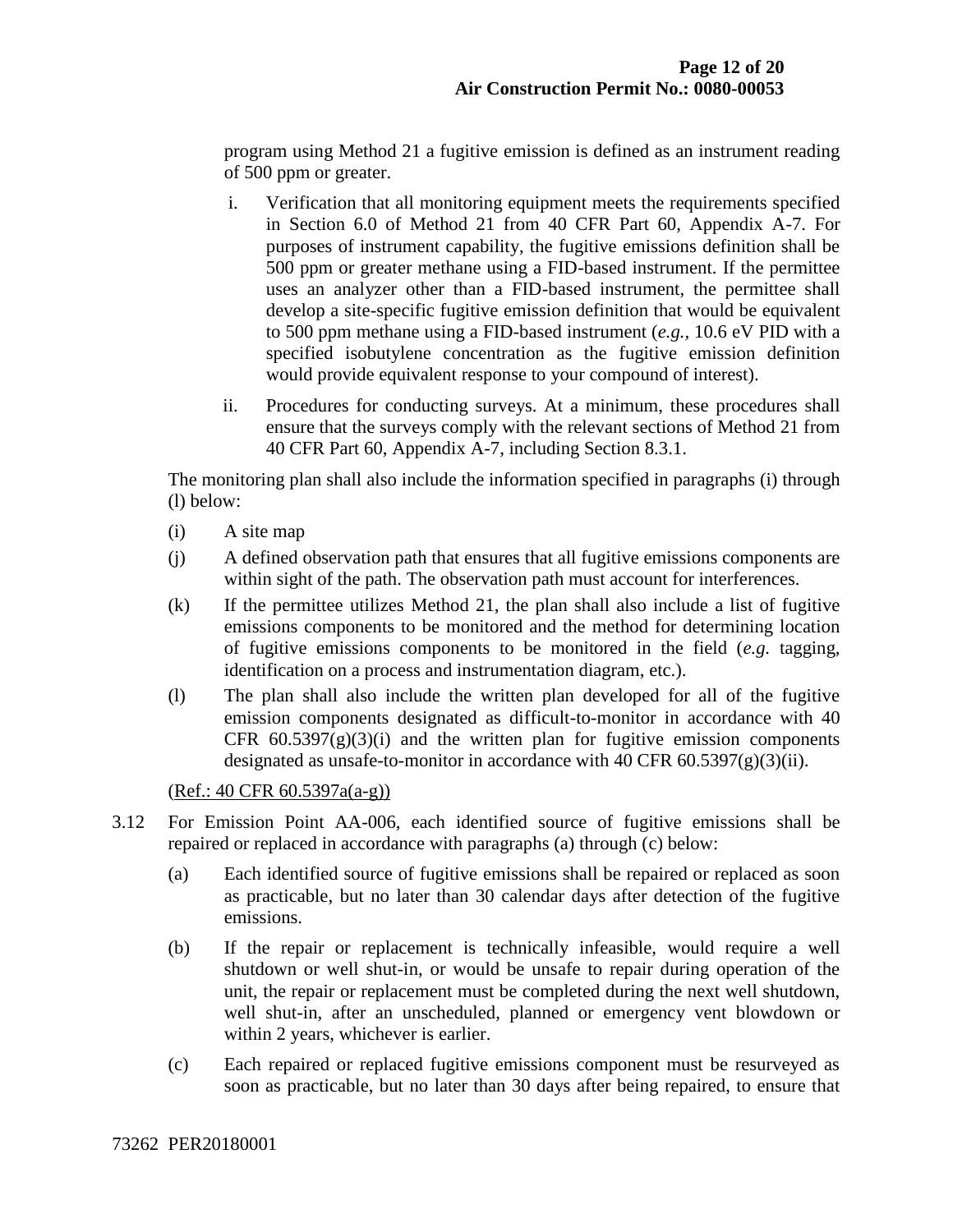program using Method 21 a fugitive emission is defined as an instrument reading of 500 ppm or greater.

- i. Verification that all monitoring equipment meets the requirements specified in Section 6.0 of Method 21 from 40 CFR Part 60, Appendix A-7. For purposes of instrument capability, the fugitive emissions definition shall be 500 ppm or greater methane using a FID-based instrument. If the permittee uses an analyzer other than a FID-based instrument, the permittee shall develop a site-specific fugitive emission definition that would be equivalent to 500 ppm methane using a FID-based instrument (*e.g.,* 10.6 eV PID with a specified isobutylene concentration as the fugitive emission definition would provide equivalent response to your compound of interest).
- ii. Procedures for conducting surveys. At a minimum, these procedures shall ensure that the surveys comply with the relevant sections of Method 21 from 40 CFR Part 60, Appendix A-7, including Section 8.3.1.

The monitoring plan shall also include the information specified in paragraphs (i) through (l) below:

- (i) A site map
- (j) A defined observation path that ensures that all fugitive emissions components are within sight of the path. The observation path must account for interferences.
- (k) If the permittee utilizes Method 21, the plan shall also include a list of fugitive emissions components to be monitored and the method for determining location of fugitive emissions components to be monitored in the field (*e.g.* tagging, identification on a process and instrumentation diagram, etc.).
- (l) The plan shall also include the written plan developed for all of the fugitive emission components designated as difficult-to-monitor in accordance with 40 CFR  $60.5397(g)(3)(i)$  and the written plan for fugitive emission components designated as unsafe-to-monitor in accordance with 40 CFR  $60.5397(g)(3)(ii)$ .

(Ref.: 40 CFR 60.5397a(a-g))

- 3.12 For Emission Point AA-006, each identified source of fugitive emissions shall be repaired or replaced in accordance with paragraphs (a) through (c) below:
	- (a) Each identified source of fugitive emissions shall be repaired or replaced as soon as practicable, but no later than 30 calendar days after detection of the fugitive emissions.
	- (b) If the repair or replacement is technically infeasible, would require a well shutdown or well shut-in, or would be unsafe to repair during operation of the unit, the repair or replacement must be completed during the next well shutdown, well shut-in, after an unscheduled, planned or emergency vent blowdown or within 2 years, whichever is earlier.
	- (c) Each repaired or replaced fugitive emissions component must be resurveyed as soon as practicable, but no later than 30 days after being repaired, to ensure that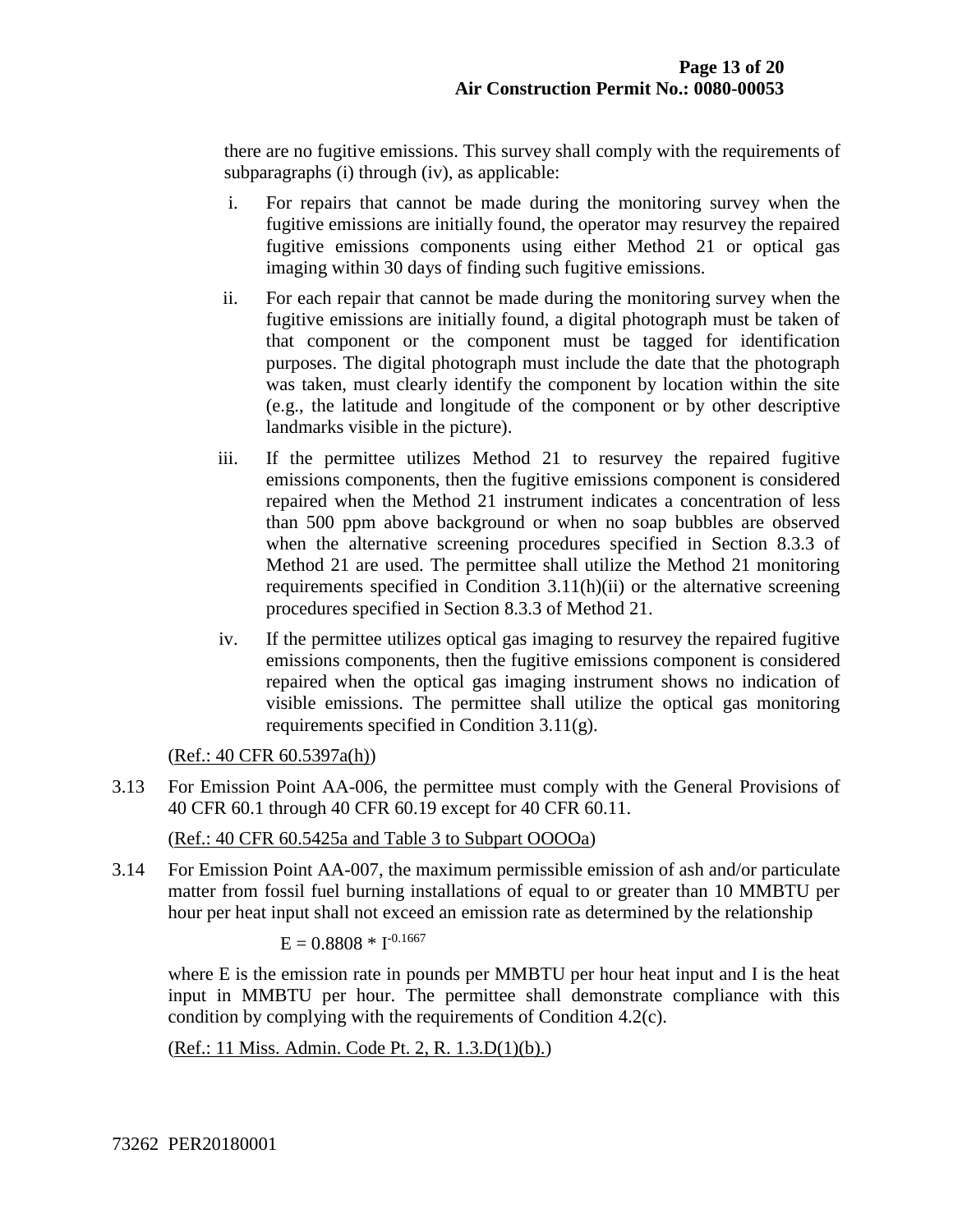there are no fugitive emissions. This survey shall comply with the requirements of subparagraphs (i) through (iv), as applicable:

- i. For repairs that cannot be made during the monitoring survey when the fugitive emissions are initially found, the operator may resurvey the repaired fugitive emissions components using either Method 21 or optical gas imaging within 30 days of finding such fugitive emissions.
- ii. For each repair that cannot be made during the monitoring survey when the fugitive emissions are initially found, a digital photograph must be taken of that component or the component must be tagged for identification purposes. The digital photograph must include the date that the photograph was taken, must clearly identify the component by location within the site (e.g., the latitude and longitude of the component or by other descriptive landmarks visible in the picture).
- iii. If the permittee utilizes Method 21 to resurvey the repaired fugitive emissions components, then the fugitive emissions component is considered repaired when the Method 21 instrument indicates a concentration of less than 500 ppm above background or when no soap bubbles are observed when the alternative screening procedures specified in Section 8.3.3 of Method 21 are used. The permittee shall utilize the Method 21 monitoring requirements specified in Condition 3.11(h)(ii) or the alternative screening procedures specified in Section 8.3.3 of Method 21.
- iv. If the permittee utilizes optical gas imaging to resurvey the repaired fugitive emissions components, then the fugitive emissions component is considered repaired when the optical gas imaging instrument shows no indication of visible emissions. The permittee shall utilize the optical gas monitoring requirements specified in Condition 3.11(g).

(Ref.: 40 CFR 60.5397a(h))

3.13 For Emission Point AA-006, the permittee must comply with the General Provisions of 40 CFR 60.1 through 40 CFR 60.19 except for 40 CFR 60.11.

(Ref.: 40 CFR 60.5425a and Table 3 to Subpart OOOOa)

3.14 For Emission Point AA-007, the maximum permissible emission of ash and/or particulate matter from fossil fuel burning installations of equal to or greater than 10 MMBTU per hour per heat input shall not exceed an emission rate as determined by the relationship

 $E = 0.8808 * I^{-0.1667}$ 

where E is the emission rate in pounds per MMBTU per hour heat input and I is the heat input in MMBTU per hour. The permittee shall demonstrate compliance with this condition by complying with the requirements of Condition 4.2(c).

(Ref.: 11 Miss. Admin. Code Pt. 2, R. 1.3.D(1)(b).)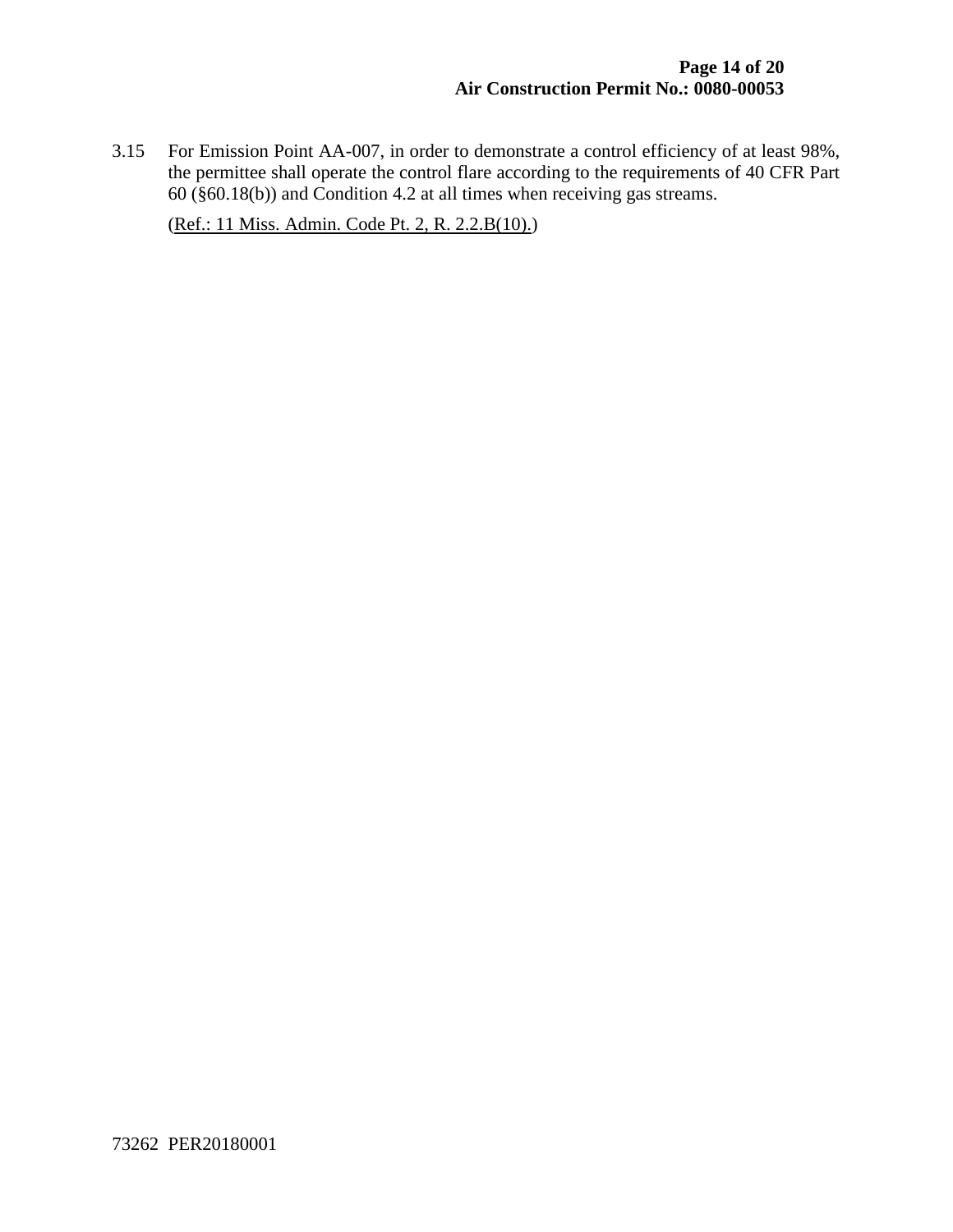3.15 For Emission Point AA-007, in order to demonstrate a control efficiency of at least 98%, the permittee shall operate the control flare according to the requirements of 40 CFR Part  $60$  (§60.18(b)) and Condition 4.2 at all times when receiving gas streams.

(Ref.: 11 Miss. Admin. Code Pt. 2, R. 2.2.B(10).)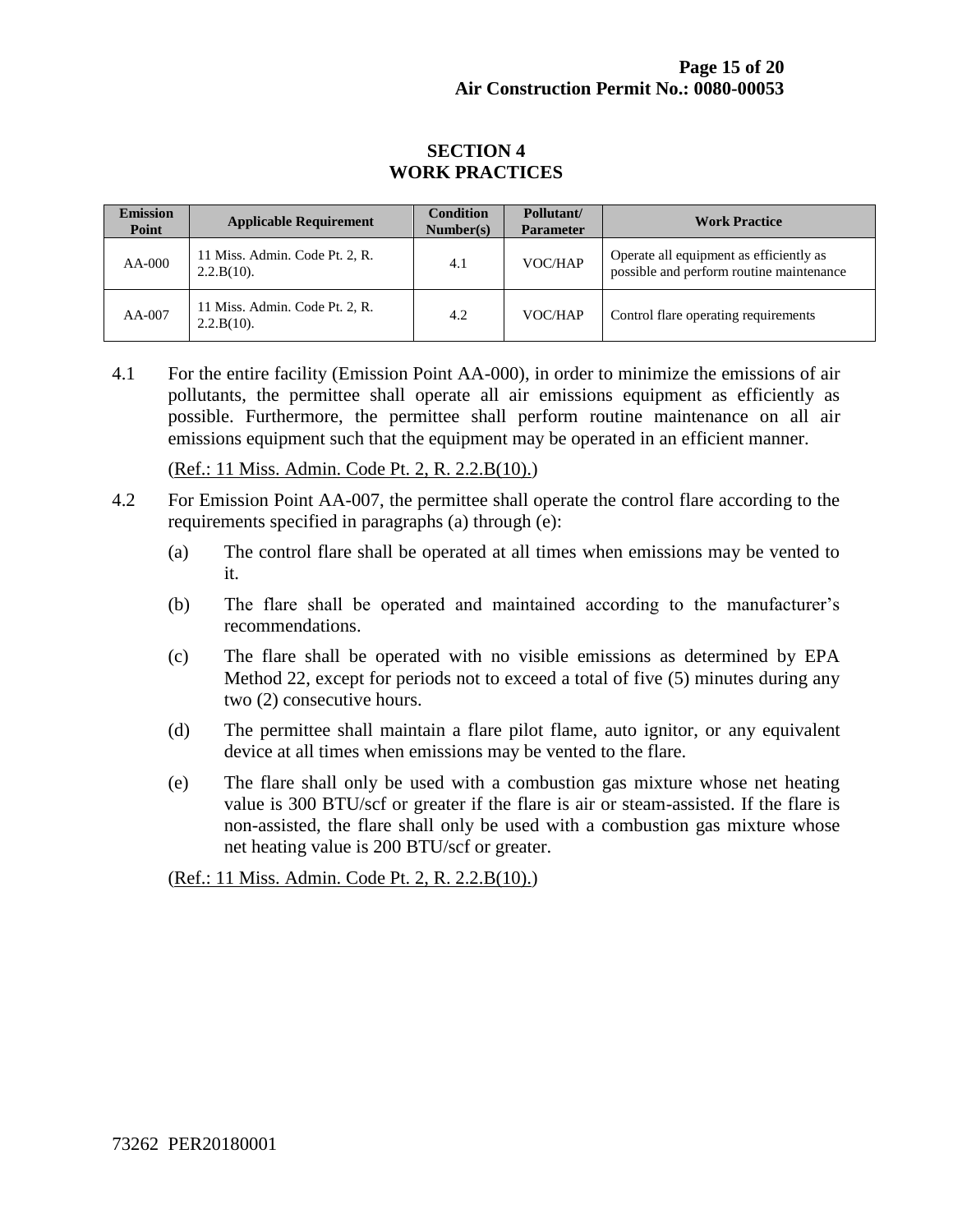#### **SECTION 4 WORK PRACTICES**

| <b>Emission</b><br>Point | <b>Applicable Requirement</b>                   | <b>Condition</b><br>Number(s) | Pollutant/<br><b>Parameter</b> | <b>Work Practice</b>                                                                |
|--------------------------|-------------------------------------------------|-------------------------------|--------------------------------|-------------------------------------------------------------------------------------|
| $AA-000$                 | 11 Miss. Admin. Code Pt. 2, R.<br>$2.2.B(10)$ . | 4.1                           | VOC/HAP                        | Operate all equipment as efficiently as<br>possible and perform routine maintenance |
| AA-007                   | 11 Miss. Admin. Code Pt. 2, R.<br>$2.2.B(10)$ . | 4.2                           | VOC/HAP                        | Control flare operating requirements                                                |

4.1 For the entire facility (Emission Point AA-000), in order to minimize the emissions of air pollutants, the permittee shall operate all air emissions equipment as efficiently as possible. Furthermore, the permittee shall perform routine maintenance on all air emissions equipment such that the equipment may be operated in an efficient manner.

(Ref.: 11 Miss. Admin. Code Pt. 2, R. 2.2.B(10).)

- 4.2 For Emission Point AA-007, the permittee shall operate the control flare according to the requirements specified in paragraphs (a) through (e):
	- (a) The control flare shall be operated at all times when emissions may be vented to it.
	- (b) The flare shall be operated and maintained according to the manufacturer's recommendations.
	- (c) The flare shall be operated with no visible emissions as determined by EPA Method 22, except for periods not to exceed a total of five (5) minutes during any two (2) consecutive hours.
	- (d) The permittee shall maintain a flare pilot flame, auto ignitor, or any equivalent device at all times when emissions may be vented to the flare.
	- (e) The flare shall only be used with a combustion gas mixture whose net heating value is 300 BTU/scf or greater if the flare is air or steam-assisted. If the flare is non-assisted, the flare shall only be used with a combustion gas mixture whose net heating value is 200 BTU/scf or greater.

(Ref.: 11 Miss. Admin. Code Pt. 2, R. 2.2.B(10).)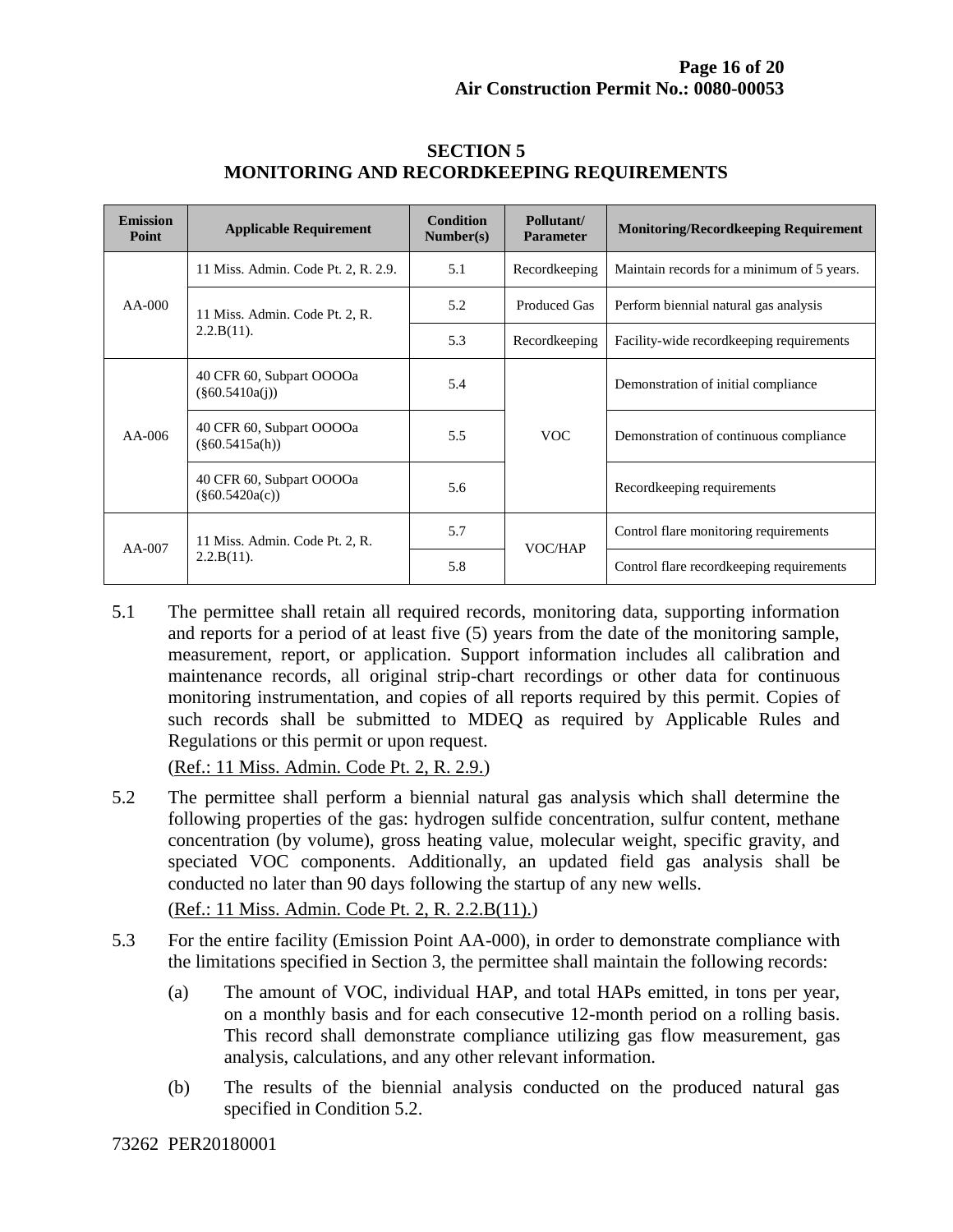| <b>Emission</b><br>Point | <b>Applicable Requirement</b>                   | <b>Condition</b><br>Number(s) | Pollutant/<br><b>Parameter</b> | <b>Monitoring/Recordkeeping Requirement</b> |
|--------------------------|-------------------------------------------------|-------------------------------|--------------------------------|---------------------------------------------|
| $AA-000$                 | 11 Miss. Admin. Code Pt. 2, R. 2.9.             | 5.1                           | Recordkeeping                  | Maintain records for a minimum of 5 years.  |
|                          | 11 Miss. Admin. Code Pt. 2, R.<br>$2.2.B(11)$ . | 5.2                           | <b>Produced Gas</b>            | Perform biennial natural gas analysis       |
|                          |                                                 | 5.3                           | Recordkeeping                  | Facility-wide record keeping requirements   |
| $AA-006$                 | 40 CFR 60, Subpart OOOOa<br>$(\$60.5410a(i))$   | 5.4                           | <b>VOC</b>                     | Demonstration of initial compliance         |
|                          | 40 CFR 60, Subpart OOOOa<br>$(\$60.5415a(h))$   | 5.5                           |                                | Demonstration of continuous compliance      |
|                          | 40 CFR 60, Subpart OOOOa<br>$(\$60.5420a(c))$   | 5.6                           |                                | Recordkeeping requirements                  |
| $AA-007$                 | 11 Miss. Admin. Code Pt. 2, R.<br>$2.2.B(11)$ . | 5.7                           | VOC/HAP                        | Control flare monitoring requirements       |
|                          |                                                 | 5.8                           |                                | Control flare record keeping requirements   |

#### **SECTION 5 MONITORING AND RECORDKEEPING REQUIREMENTS**

5.1 The permittee shall retain all required records, monitoring data, supporting information and reports for a period of at least five (5) years from the date of the monitoring sample, measurement, report, or application. Support information includes all calibration and maintenance records, all original strip-chart recordings or other data for continuous monitoring instrumentation, and copies of all reports required by this permit. Copies of such records shall be submitted to MDEQ as required by Applicable Rules and Regulations or this permit or upon request.

(Ref.: 11 Miss. Admin. Code Pt. 2, R. 2.9.)

5.2 The permittee shall perform a biennial natural gas analysis which shall determine the following properties of the gas: hydrogen sulfide concentration, sulfur content, methane concentration (by volume), gross heating value, molecular weight, specific gravity, and speciated VOC components. Additionally, an updated field gas analysis shall be conducted no later than 90 days following the startup of any new wells.

(Ref.: 11 Miss. Admin. Code Pt. 2, R. 2.2.B(11).)

- 5.3 For the entire facility (Emission Point AA-000), in order to demonstrate compliance with the limitations specified in Section 3, the permittee shall maintain the following records:
	- (a) The amount of VOC, individual HAP, and total HAPs emitted, in tons per year, on a monthly basis and for each consecutive 12-month period on a rolling basis. This record shall demonstrate compliance utilizing gas flow measurement, gas analysis, calculations, and any other relevant information.
	- (b) The results of the biennial analysis conducted on the produced natural gas specified in Condition 5.2.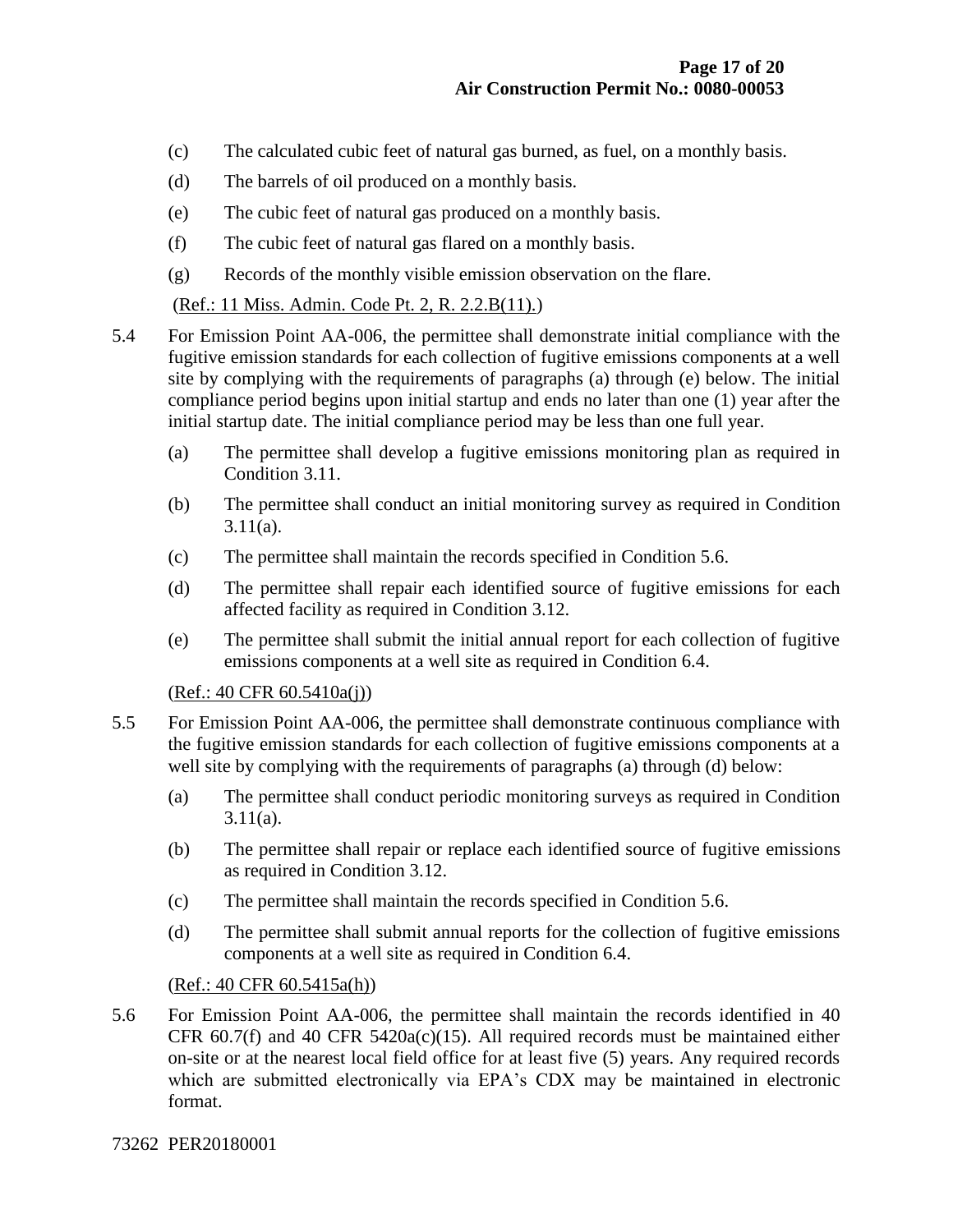- (c) The calculated cubic feet of natural gas burned, as fuel, on a monthly basis.
- (d) The barrels of oil produced on a monthly basis.
- (e) The cubic feet of natural gas produced on a monthly basis.
- (f) The cubic feet of natural gas flared on a monthly basis.
- (g) Records of the monthly visible emission observation on the flare.

(Ref.: 11 Miss. Admin. Code Pt. 2, R. 2.2.B(11).)

- 5.4 For Emission Point AA-006, the permittee shall demonstrate initial compliance with the fugitive emission standards for each collection of fugitive emissions components at a well site by complying with the requirements of paragraphs (a) through (e) below. The initial compliance period begins upon initial startup and ends no later than one (1) year after the initial startup date. The initial compliance period may be less than one full year.
	- (a) The permittee shall develop a fugitive emissions monitoring plan as required in Condition 3.11.
	- (b) The permittee shall conduct an initial monitoring survey as required in Condition 3.11(a).
	- (c) The permittee shall maintain the records specified in Condition 5.6.
	- (d) The permittee shall repair each identified source of fugitive emissions for each affected facility as required in Condition 3.12.
	- (e) The permittee shall submit the initial annual report for each collection of fugitive emissions components at a well site as required in Condition 6.4.

(Ref.: 40 CFR 60.5410a(j))

- 5.5 For Emission Point AA-006, the permittee shall demonstrate continuous compliance with the fugitive emission standards for each collection of fugitive emissions components at a well site by complying with the requirements of paragraphs (a) through (d) below:
	- (a) The permittee shall conduct periodic monitoring surveys as required in Condition  $3.11(a)$ .
	- (b) The permittee shall repair or replace each identified source of fugitive emissions as required in Condition 3.12.
	- (c) The permittee shall maintain the records specified in Condition 5.6.
	- (d) The permittee shall submit annual reports for the collection of fugitive emissions components at a well site as required in Condition 6.4.

(Ref.: 40 CFR 60.5415a(h))

5.6 For Emission Point AA-006, the permittee shall maintain the records identified in 40 CFR  $60.7(f)$  and  $40$  CFR  $5420a(c)(15)$ . All required records must be maintained either on-site or at the nearest local field office for at least five (5) years. Any required records which are submitted electronically via EPA's CDX may be maintained in electronic format.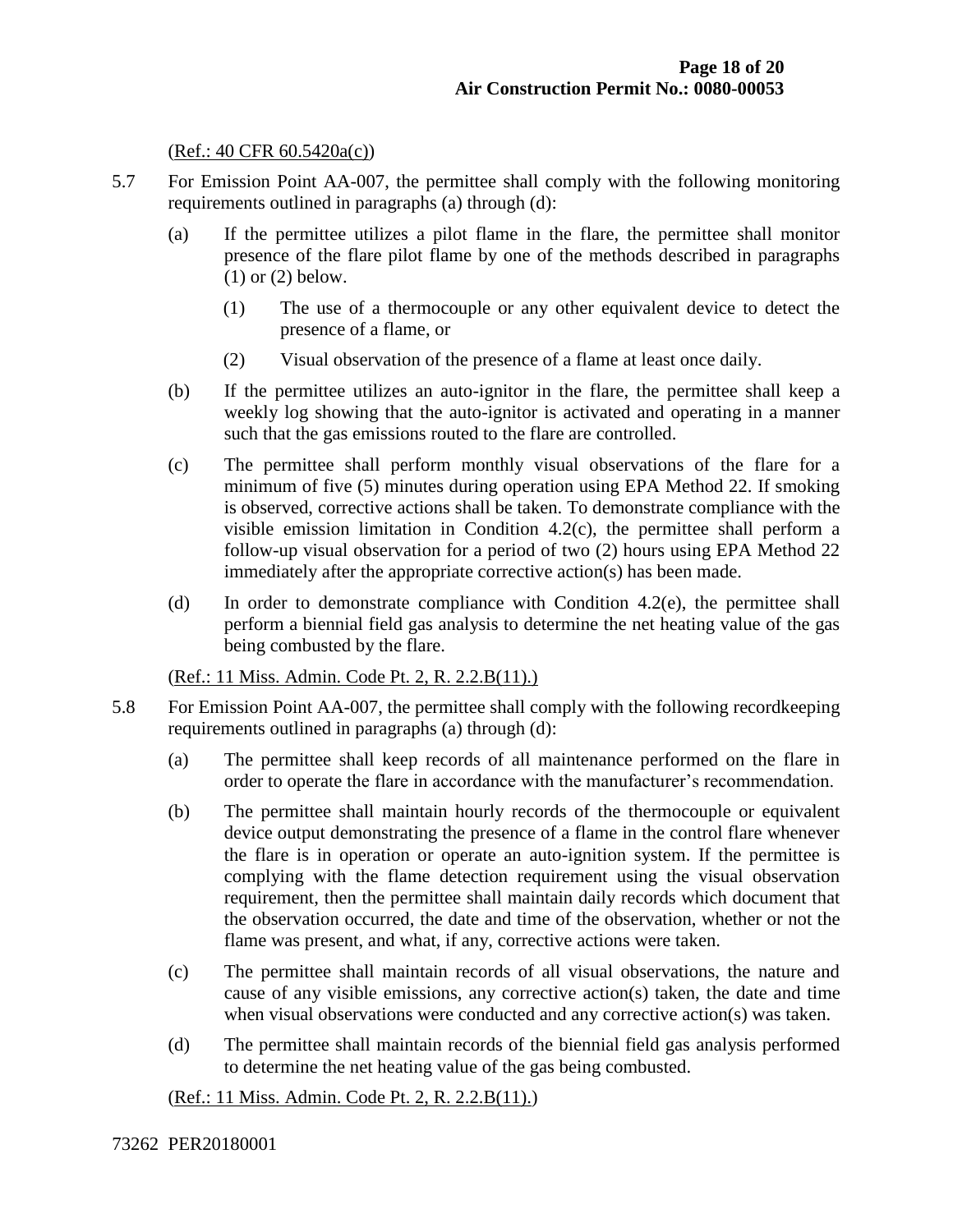#### (Ref.: 40 CFR 60.5420a(c))

- 5.7 For Emission Point AA-007, the permittee shall comply with the following monitoring requirements outlined in paragraphs (a) through (d):
	- (a) If the permittee utilizes a pilot flame in the flare, the permittee shall monitor presence of the flare pilot flame by one of the methods described in paragraphs (1) or (2) below.
		- (1) The use of a thermocouple or any other equivalent device to detect the presence of a flame, or
		- (2) Visual observation of the presence of a flame at least once daily.
	- (b) If the permittee utilizes an auto-ignitor in the flare, the permittee shall keep a weekly log showing that the auto-ignitor is activated and operating in a manner such that the gas emissions routed to the flare are controlled.
	- (c) The permittee shall perform monthly visual observations of the flare for a minimum of five (5) minutes during operation using EPA Method 22. If smoking is observed, corrective actions shall be taken. To demonstrate compliance with the visible emission limitation in Condition 4.2(c), the permittee shall perform a follow-up visual observation for a period of two (2) hours using EPA Method 22 immediately after the appropriate corrective action(s) has been made.
	- (d) In order to demonstrate compliance with Condition 4.2(e), the permittee shall perform a biennial field gas analysis to determine the net heating value of the gas being combusted by the flare.

(Ref.: 11 Miss. Admin. Code Pt. 2, R. 2.2.B(11).)

- 5.8 For Emission Point AA-007, the permittee shall comply with the following recordkeeping requirements outlined in paragraphs (a) through (d):
	- (a) The permittee shall keep records of all maintenance performed on the flare in order to operate the flare in accordance with the manufacturer's recommendation.
	- (b) The permittee shall maintain hourly records of the thermocouple or equivalent device output demonstrating the presence of a flame in the control flare whenever the flare is in operation or operate an auto-ignition system. If the permittee is complying with the flame detection requirement using the visual observation requirement, then the permittee shall maintain daily records which document that the observation occurred, the date and time of the observation, whether or not the flame was present, and what, if any, corrective actions were taken.
	- (c) The permittee shall maintain records of all visual observations, the nature and cause of any visible emissions, any corrective action(s) taken, the date and time when visual observations were conducted and any corrective action(s) was taken.
	- (d) The permittee shall maintain records of the biennial field gas analysis performed to determine the net heating value of the gas being combusted.

(Ref.: 11 Miss. Admin. Code Pt. 2, R. 2.2.B(11).)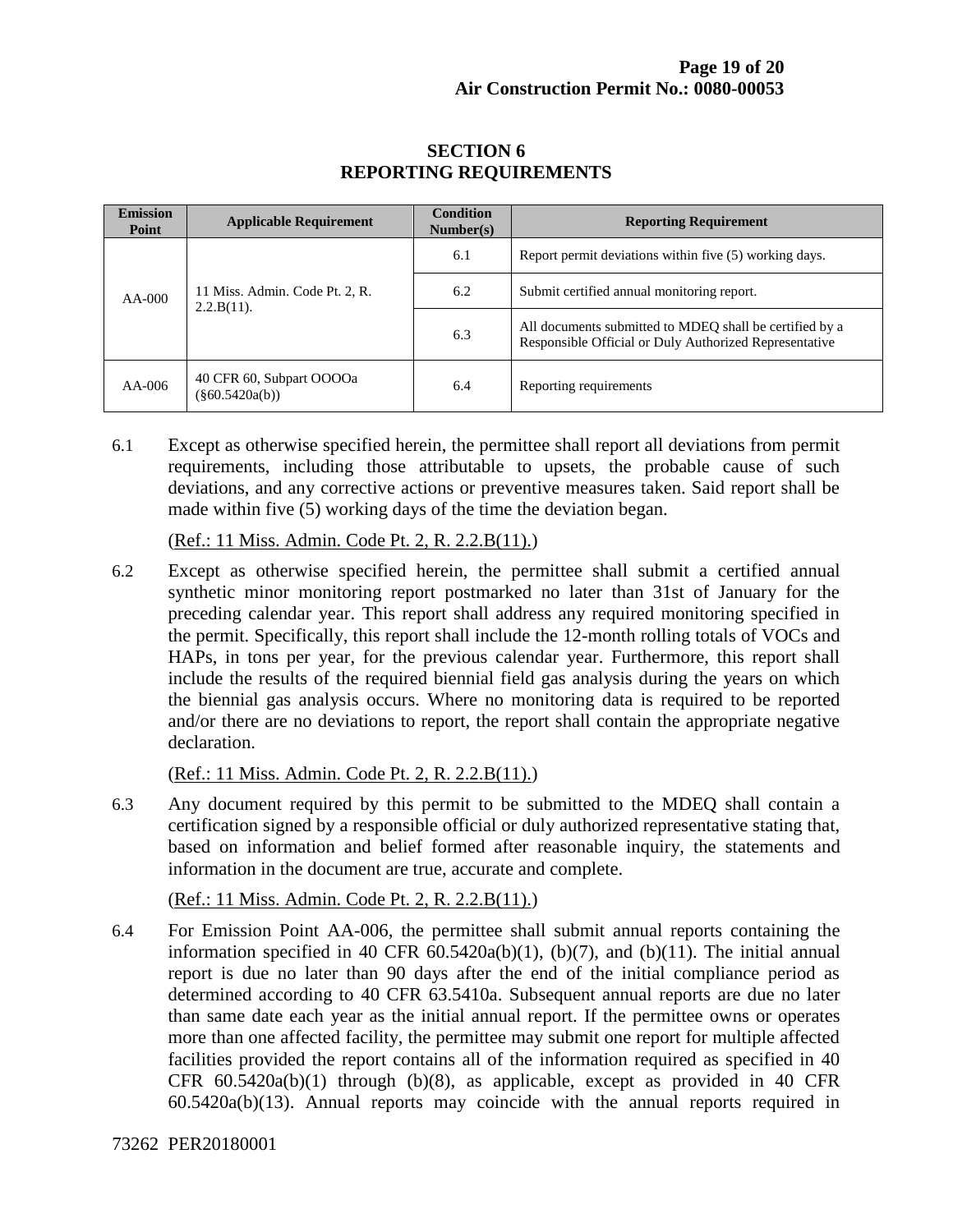| <b>Emission</b><br>Point | <b>Applicable Requirement</b>                   | <b>Condition</b><br>Number(s) | <b>Reporting Requirement</b>                                                                                      |
|--------------------------|-------------------------------------------------|-------------------------------|-------------------------------------------------------------------------------------------------------------------|
| $AA-000$                 | 11 Miss. Admin. Code Pt. 2, R.<br>$2.2.B(11)$ . | 6.1                           | Report permit deviations within five (5) working days.                                                            |
|                          |                                                 | 6.2                           | Submit certified annual monitoring report.                                                                        |
|                          |                                                 | 6.3                           | All documents submitted to MDEQ shall be certified by a<br>Responsible Official or Duly Authorized Representative |
| $AA-006$                 | 40 CFR 60, Subpart OOOOa<br>$(\$60.5420a(b))$   | 6.4                           | Reporting requirements                                                                                            |

#### **SECTION 6 REPORTING REQUIREMENTS**

6.1 Except as otherwise specified herein, the permittee shall report all deviations from permit requirements, including those attributable to upsets, the probable cause of such deviations, and any corrective actions or preventive measures taken. Said report shall be made within five (5) working days of the time the deviation began.

(Ref.: 11 Miss. Admin. Code Pt. 2, R. 2.2.B(11).)

6.2 Except as otherwise specified herein, the permittee shall submit a certified annual synthetic minor monitoring report postmarked no later than 31st of January for the preceding calendar year. This report shall address any required monitoring specified in the permit. Specifically, this report shall include the 12-month rolling totals of VOCs and HAPs, in tons per year, for the previous calendar year. Furthermore, this report shall include the results of the required biennial field gas analysis during the years on which the biennial gas analysis occurs. Where no monitoring data is required to be reported and/or there are no deviations to report, the report shall contain the appropriate negative declaration.

(Ref.: 11 Miss. Admin. Code Pt. 2, R. 2.2.B(11).)

6.3 Any document required by this permit to be submitted to the MDEQ shall contain a certification signed by a responsible official or duly authorized representative stating that, based on information and belief formed after reasonable inquiry, the statements and information in the document are true, accurate and complete.

(Ref.: 11 Miss. Admin. Code Pt. 2, R. 2.2.B(11).)

6.4 For Emission Point AA-006, the permittee shall submit annual reports containing the information specified in 40 CFR  $60.5420a(b)(1)$ ,  $(b)(7)$ , and  $(b)(11)$ . The initial annual report is due no later than 90 days after the end of the initial compliance period as determined according to 40 CFR 63.5410a. Subsequent annual reports are due no later than same date each year as the initial annual report. If the permittee owns or operates more than one affected facility, the permittee may submit one report for multiple affected facilities provided the report contains all of the information required as specified in 40 CFR  $60.5420a(b)(1)$  through  $(b)(8)$ , as applicable, except as provided in 40 CFR 60.5420a(b)(13). Annual reports may coincide with the annual reports required in